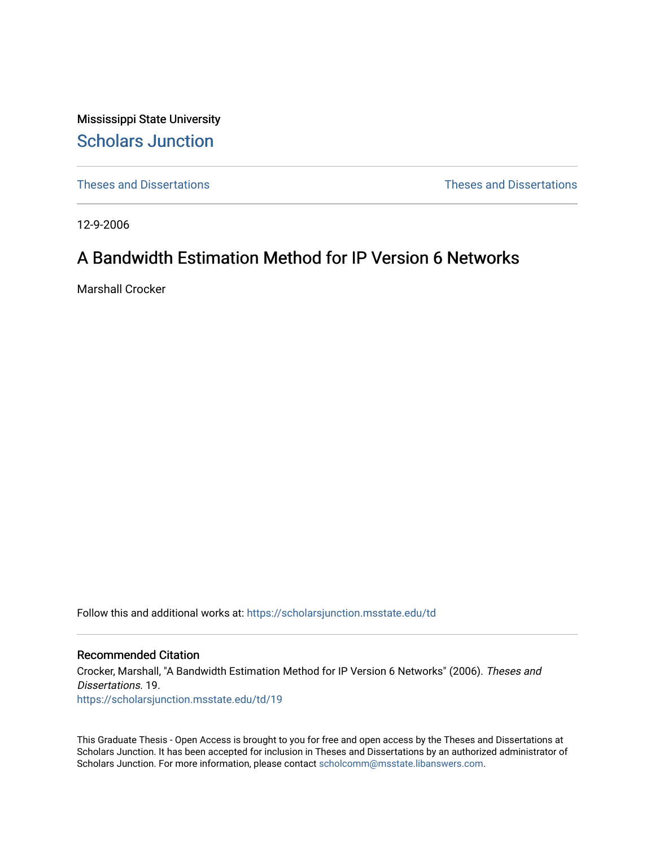Mississippi State University [Scholars Junction](https://scholarsjunction.msstate.edu/) 

[Theses and Dissertations](https://scholarsjunction.msstate.edu/td) [Theses and Dissertations](https://scholarsjunction.msstate.edu/theses-dissertations) 

12-9-2006

# A Bandwidth Estimation Method for IP Version 6 Networks

Marshall Crocker

Follow this and additional works at: [https://scholarsjunction.msstate.edu/td](https://scholarsjunction.msstate.edu/td?utm_source=scholarsjunction.msstate.edu%2Ftd%2F19&utm_medium=PDF&utm_campaign=PDFCoverPages) 

### Recommended Citation

Crocker, Marshall, "A Bandwidth Estimation Method for IP Version 6 Networks" (2006). Theses and Dissertations. 19. [https://scholarsjunction.msstate.edu/td/19](https://scholarsjunction.msstate.edu/td/19?utm_source=scholarsjunction.msstate.edu%2Ftd%2F19&utm_medium=PDF&utm_campaign=PDFCoverPages)

This Graduate Thesis - Open Access is brought to you for free and open access by the Theses and Dissertations at Scholars Junction. It has been accepted for inclusion in Theses and Dissertations by an authorized administrator of Scholars Junction. For more information, please contact [scholcomm@msstate.libanswers.com.](mailto:scholcomm@msstate.libanswers.com)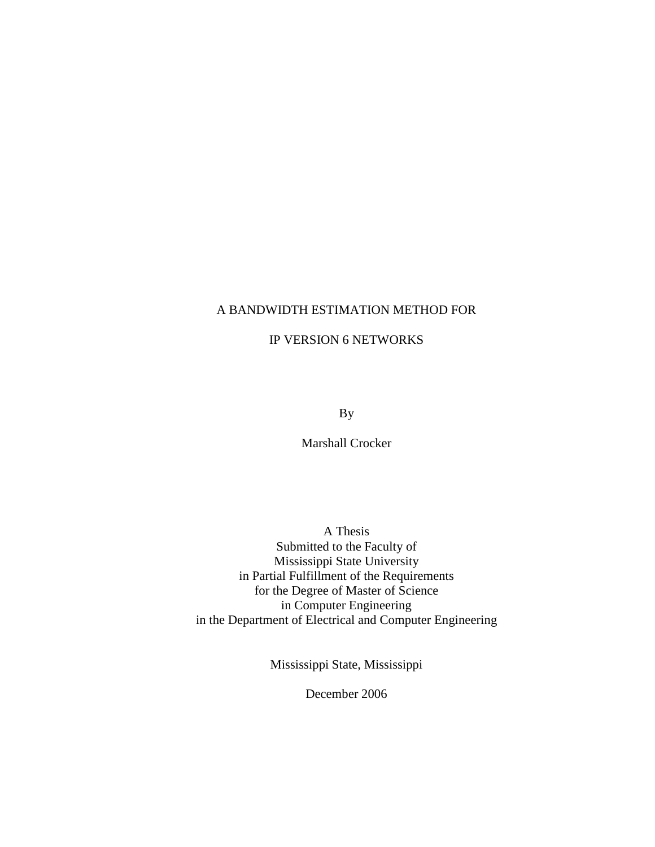# A BANDWIDTH ESTIMATION METHOD FOR

# IP VERSION 6 NETWORKS

By

Marshall Crocker

A Thesis Submitted to the Faculty of Mississippi State University in Partial Fulfillment of the Requirements for the Degree of Master of Science in Computer Engineering in the Department of Electrical and Computer Engineering

Mississippi State, Mississippi

December 2006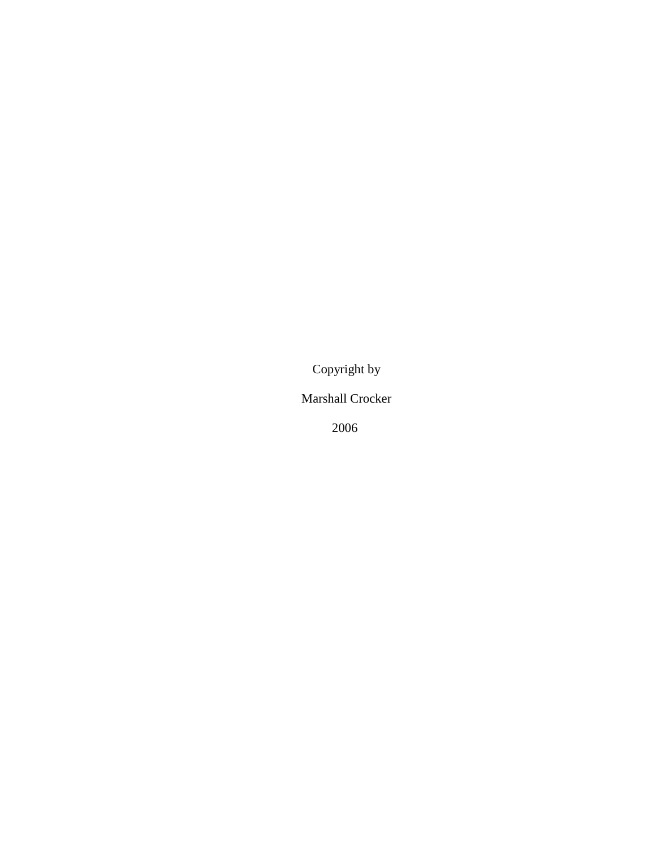Copyright by

Marshall Crocker

2006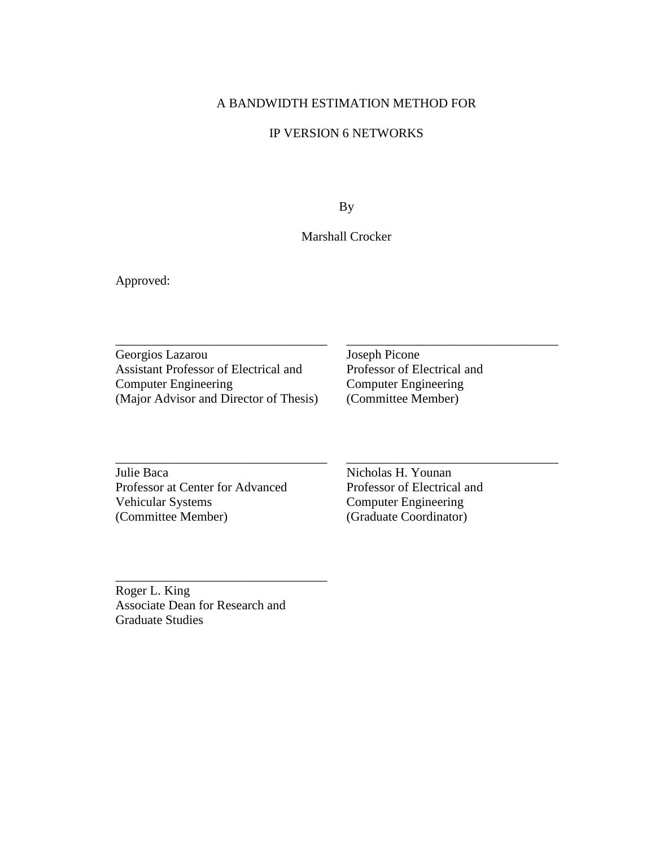# A BANDWIDTH ESTIMATION METHOD FOR

# IP VERSION 6 NETWORKS

By

# Marshall Crocker

\_\_\_\_\_\_\_\_\_\_\_\_\_\_\_\_\_\_\_\_\_\_\_\_\_\_\_\_\_\_\_\_\_ \_\_\_\_\_\_\_\_\_\_\_\_\_\_\_\_\_\_\_\_\_\_\_\_\_\_\_\_\_\_\_\_\_

\_\_\_\_\_\_\_\_\_\_\_\_\_\_\_\_\_\_\_\_\_\_\_\_\_\_\_\_\_\_\_\_\_ \_\_\_\_\_\_\_\_\_\_\_\_\_\_\_\_\_\_\_\_\_\_\_\_\_\_\_\_\_\_\_\_\_

Approved:

Georgios Lazarou Joseph Picone Assistant Professor of Electrical and Professor of Electrical and Computer Engineering Computer Engineering (Major Advisor and Director of Thesis)

Computer Engineering<br>(Committee Member)

Julie Baca Nicholas H. Younan Professor at Center for Advanced<br>
Professor of Electrical and<br>
Computer Engineering<br>
Computer Engineering (Committee Member) (Graduate Coordinator)

Computer Engineering

Roger L. King Associate Dean for Research and Graduate Studies

\_\_\_\_\_\_\_\_\_\_\_\_\_\_\_\_\_\_\_\_\_\_\_\_\_\_\_\_\_\_\_\_\_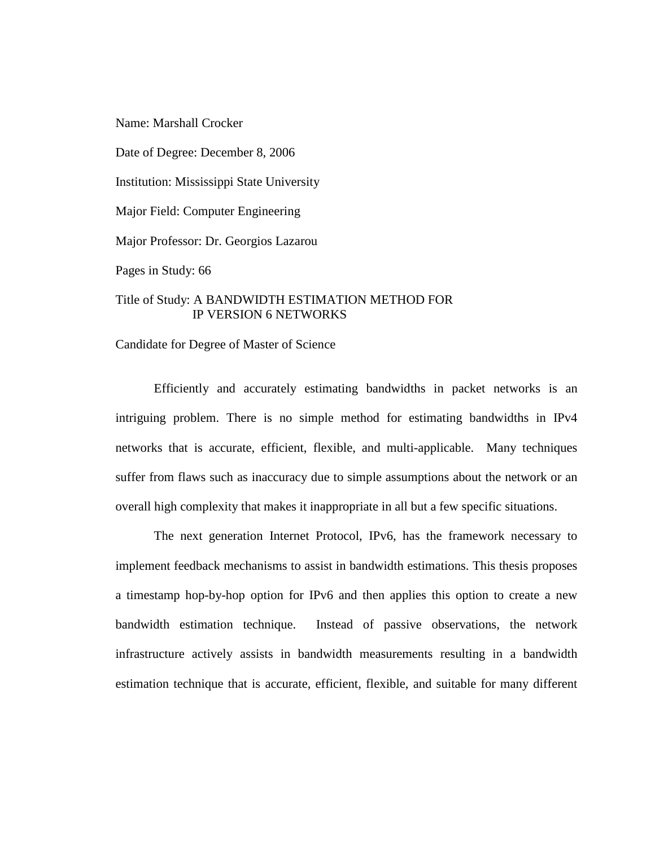Name: Marshall Crocker

Date of Degree: December 8, 2006

Institution: Mississippi State University

Major Field: Computer Engineering

Major Professor: Dr. Georgios Lazarou

Pages in Study: 66

# Title of Study: A BANDWIDTH ESTIMATION METHOD FOR IP VERSION 6 NETWORKS

Candidate for Degree of Master of Science

Efficiently and accurately estimating bandwidths in packet networks is an intriguing problem. There is no simple method for estimating bandwidths in IPv4 networks that is accurate, efficient, flexible, and multi-applicable. Many techniques suffer from flaws such as inaccuracy due to simple assumptions about the network or an overall high complexity that makes it inappropriate in all but a few specific situations.

The next generation Internet Protocol, IPv6, has the framework necessary to implement feedback mechanisms to assist in bandwidth estimations. This thesis proposes a timestamp hop-by-hop option for IPv6 and then applies this option to create a new bandwidth estimation technique. Instead of passive observations, the network infrastructure actively assists in bandwidth measurements resulting in a bandwidth estimation technique that is accurate, efficient, flexible, and suitable for many different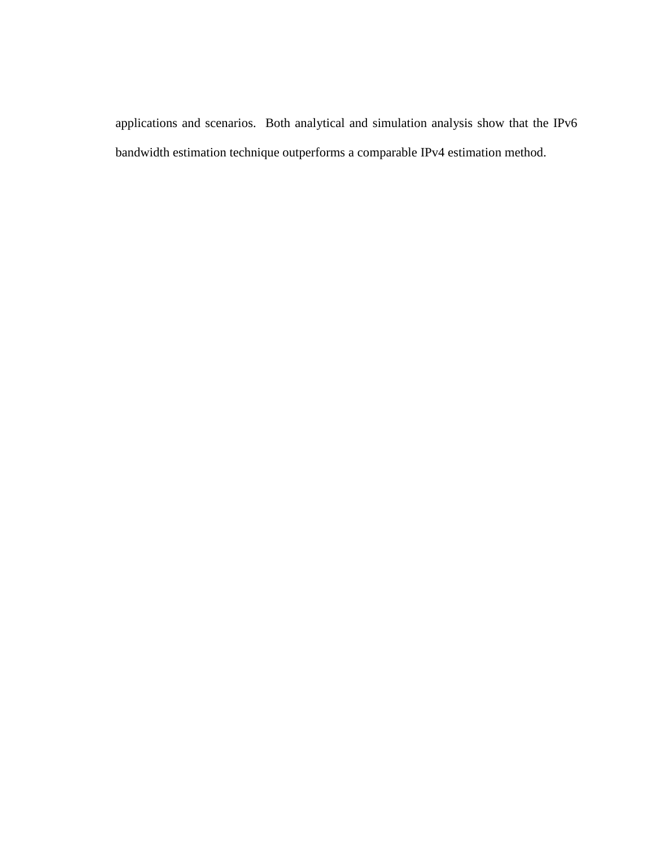applications and scenarios. Both analytical and simulation analysis show that the IPv6 bandwidth estimation technique outperforms a comparable IPv4 estimation method.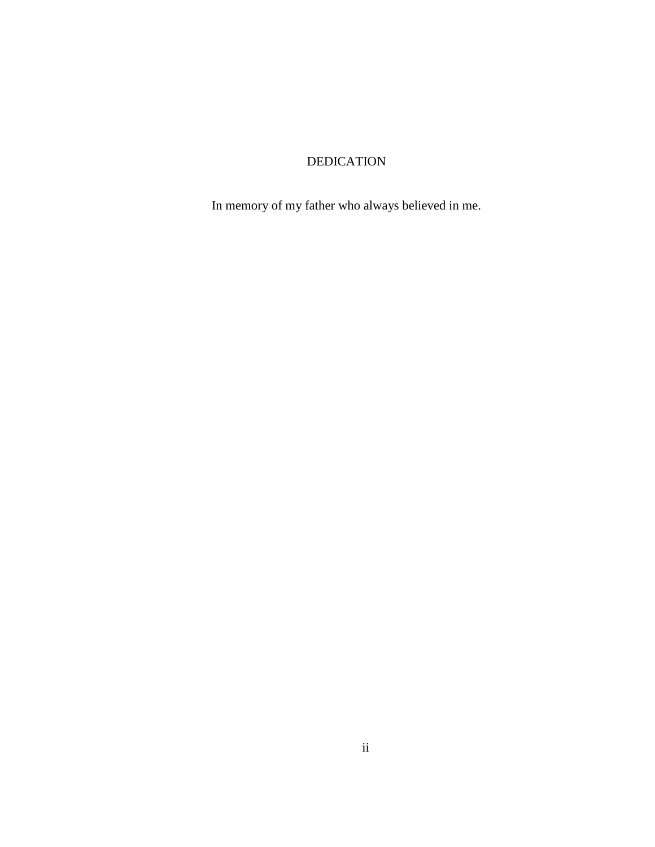# DEDICATION

In memory of my father who always believed in me.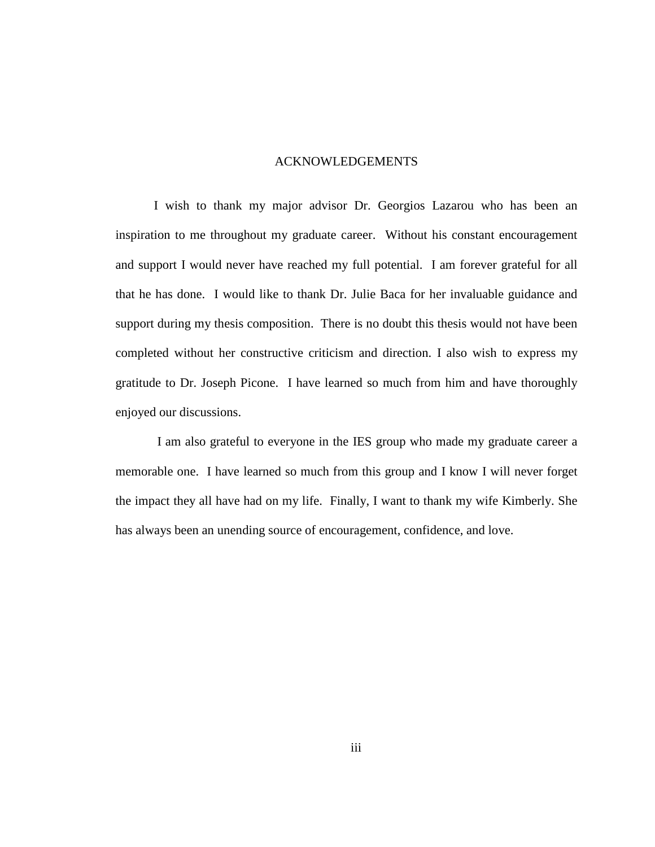#### ACKNOWLEDGEMENTS

I wish to thank my major advisor Dr. Georgios Lazarou who has been an inspiration to me throughout my graduate career. Without his constant encouragement and support I would never have reached my full potential. I am forever grateful for all that he has done. I would like to thank Dr. Julie Baca for her invaluable guidance and support during my thesis composition. There is no doubt this thesis would not have been completed without her constructive criticism and direction. I also wish to express my gratitude to Dr. Joseph Picone. I have learned so much from him and have thoroughly enjoyed our discussions.

 I am also grateful to everyone in the IES group who made my graduate career a memorable one. I have learned so much from this group and I know I will never forget the impact they all have had on my life. Finally, I want to thank my wife Kimberly. She has always been an unending source of encouragement, confidence, and love.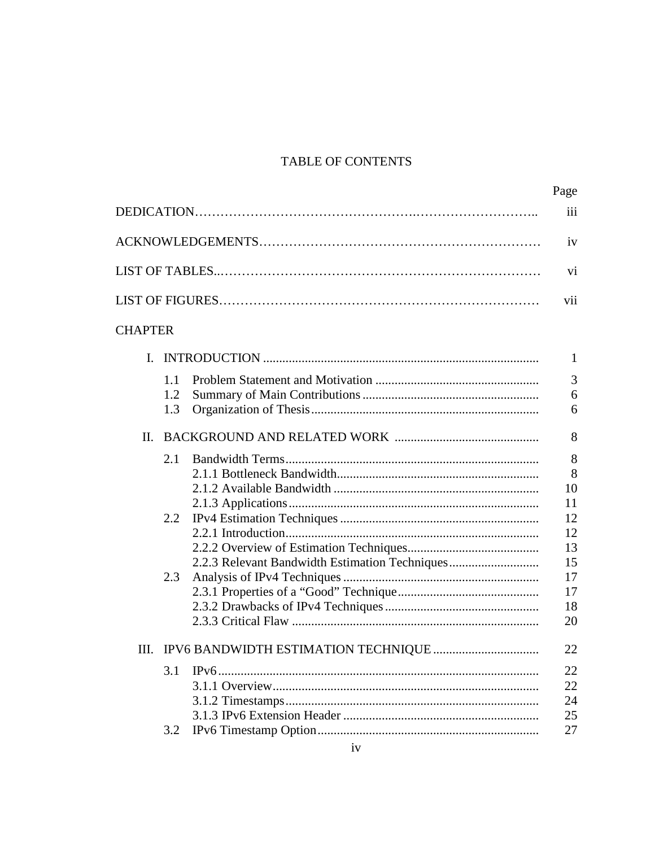# TABLE OF CONTENTS

|                |                                                | Page     |  |
|----------------|------------------------------------------------|----------|--|
| iii            |                                                |          |  |
|                |                                                |          |  |
|                |                                                |          |  |
|                |                                                |          |  |
| <b>CHAPTER</b> |                                                |          |  |
|                |                                                | 1        |  |
| 1.1            |                                                | 3        |  |
| 1.2            |                                                | 6        |  |
| 1.3            |                                                | 6        |  |
| H.             |                                                | 8        |  |
| 2.1            |                                                | 8        |  |
|                |                                                | 8        |  |
|                |                                                | 10       |  |
|                |                                                | 11       |  |
| $2.2\,$        |                                                | 12       |  |
|                |                                                | 12       |  |
|                |                                                | 13       |  |
|                | 2.2.3 Relevant Bandwidth Estimation Techniques | 15       |  |
| 2.3            |                                                | 17       |  |
|                |                                                | 17       |  |
|                |                                                | 18<br>20 |  |
|                |                                                |          |  |
|                |                                                | 22       |  |
| 3.1            |                                                | 22       |  |
|                |                                                | 22       |  |
|                |                                                | 24       |  |
|                |                                                | 25       |  |
| 3.2            |                                                | 27       |  |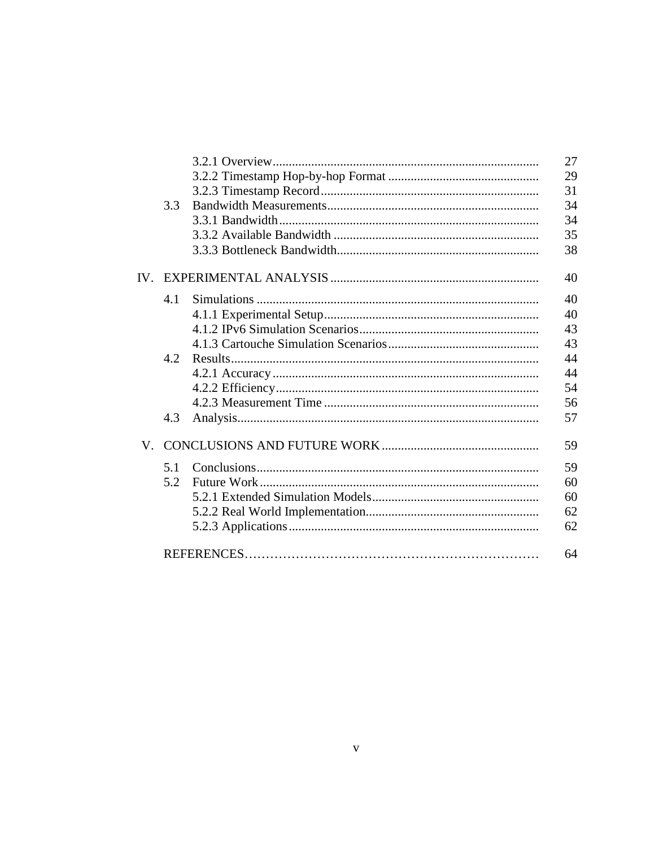|              |     | 27 |
|--------------|-----|----|
|              |     | 29 |
|              |     | 31 |
|              | 3.3 | 34 |
|              |     | 34 |
|              |     | 35 |
|              |     | 38 |
| ${\rm IV}_+$ |     | 40 |
|              | 4.1 | 40 |
|              |     | 40 |
|              |     | 43 |
|              |     | 43 |
|              | 4.2 | 44 |
|              |     | 44 |
|              |     | 54 |
|              |     | 56 |
|              | 4.3 | 57 |
| $\mathbf V$  |     | 59 |
|              | 5.1 | 59 |
|              | 5.2 | 60 |
|              |     | 60 |
|              |     | 62 |
|              |     | 62 |
|              |     | 64 |
|              |     |    |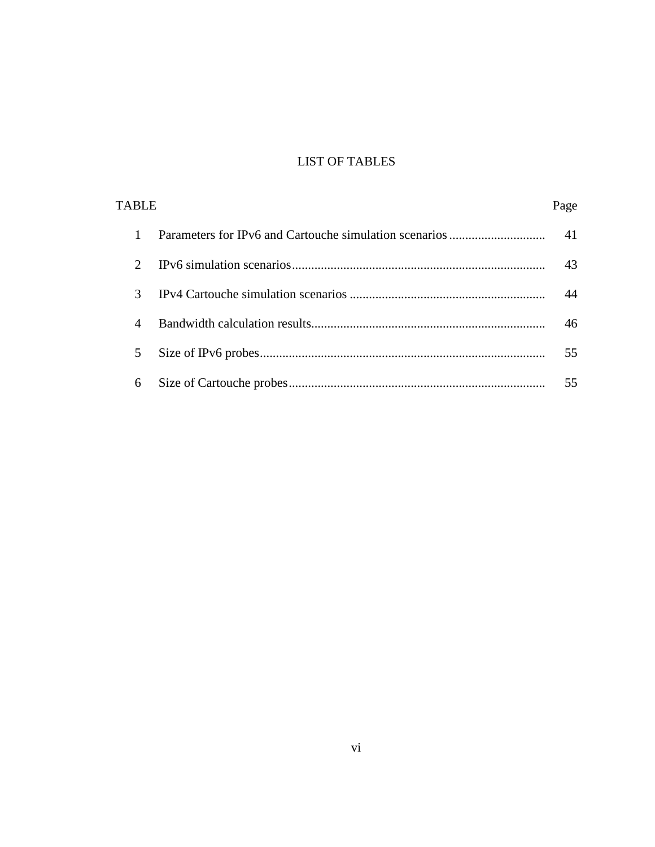# LIST OF TABLES

| <b>TABLE</b> |               | Page |    |
|--------------|---------------|------|----|
|              |               |      | 41 |
|              | $\mathcal{D}$ |      | 43 |
|              | $\mathcal{R}$ |      | 44 |
|              | 4             |      | 46 |
|              | 5             |      | 55 |
|              | 6             |      | 55 |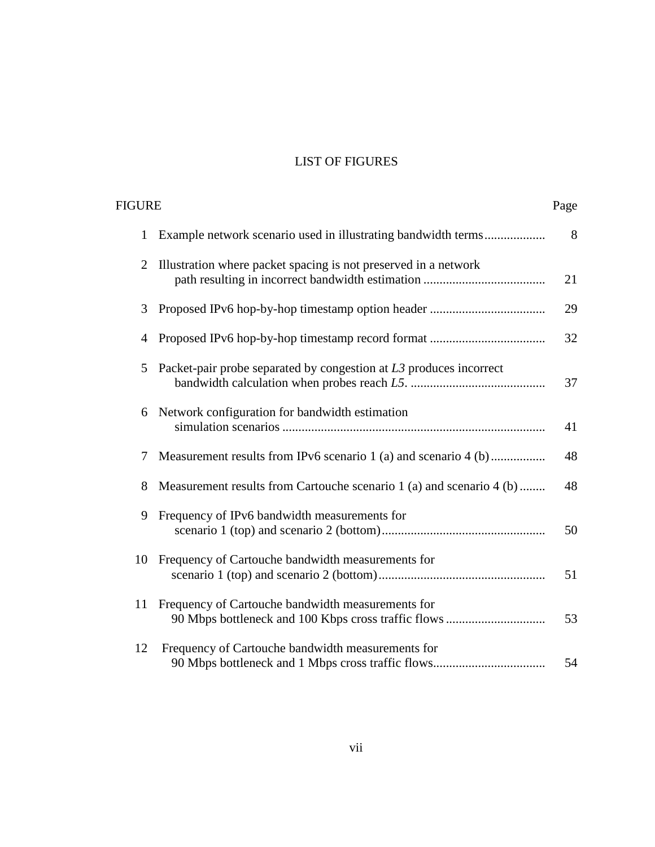# LIST OF FIGURES

| FIGURE<br>Page |                                                                      |    |
|----------------|----------------------------------------------------------------------|----|
| 1              | Example network scenario used in illustrating bandwidth terms        | 8  |
| $\overline{2}$ | Illustration where packet spacing is not preserved in a network      | 21 |
| 3              |                                                                      | 29 |
| 4              |                                                                      | 32 |
| 5              | Packet-pair probe separated by congestion at $L3$ produces incorrect | 37 |
| 6              | Network configuration for bandwidth estimation                       | 41 |
| 7              | Measurement results from IPv6 scenario 1 (a) and scenario 4 (b)      | 48 |
| 8              | Measurement results from Cartouche scenario 1 (a) and scenario 4 (b) | 48 |
| 9              | Frequency of IPv6 bandwidth measurements for                         | 50 |
| 10             | Frequency of Cartouche bandwidth measurements for                    | 51 |
| 11             | Frequency of Cartouche bandwidth measurements for                    | 53 |
| 12             | Frequency of Cartouche bandwidth measurements for                    | 54 |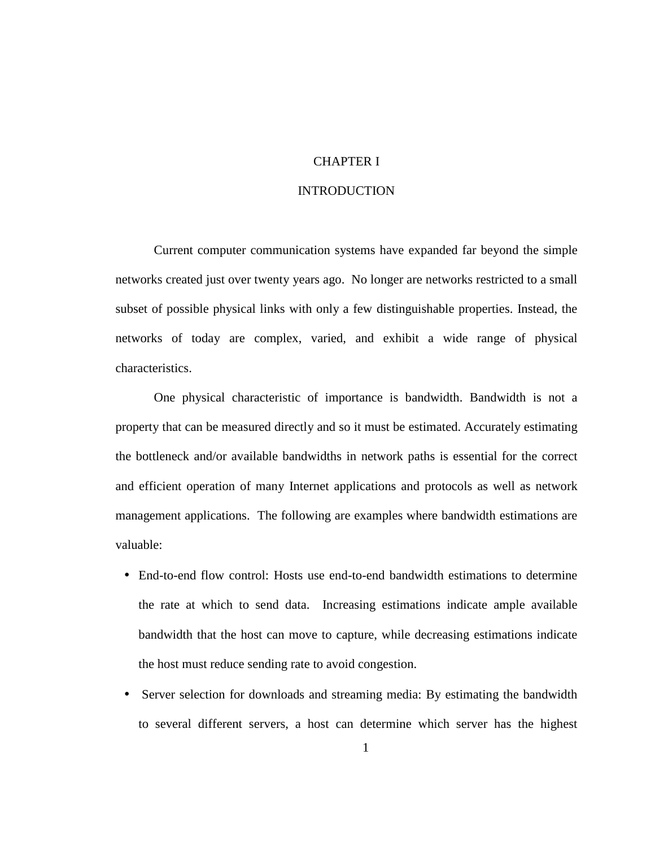# CHAPTER I

#### INTRODUCTION

Current computer communication systems have expanded far beyond the simple networks created just over twenty years ago. No longer are networks restricted to a small subset of possible physical links with only a few distinguishable properties. Instead, the networks of today are complex, varied, and exhibit a wide range of physical characteristics.

One physical characteristic of importance is bandwidth. Bandwidth is not a property that can be measured directly and so it must be estimated. Accurately estimating the bottleneck and/or available bandwidths in network paths is essential for the correct and efficient operation of many Internet applications and protocols as well as network management applications. The following are examples where bandwidth estimations are valuable:

- End-to-end flow control: Hosts use end-to-end bandwidth estimations to determine the rate at which to send data. Increasing estimations indicate ample available bandwidth that the host can move to capture, while decreasing estimations indicate the host must reduce sending rate to avoid congestion.
- Server selection for downloads and streaming media: By estimating the bandwidth to several different servers, a host can determine which server has the highest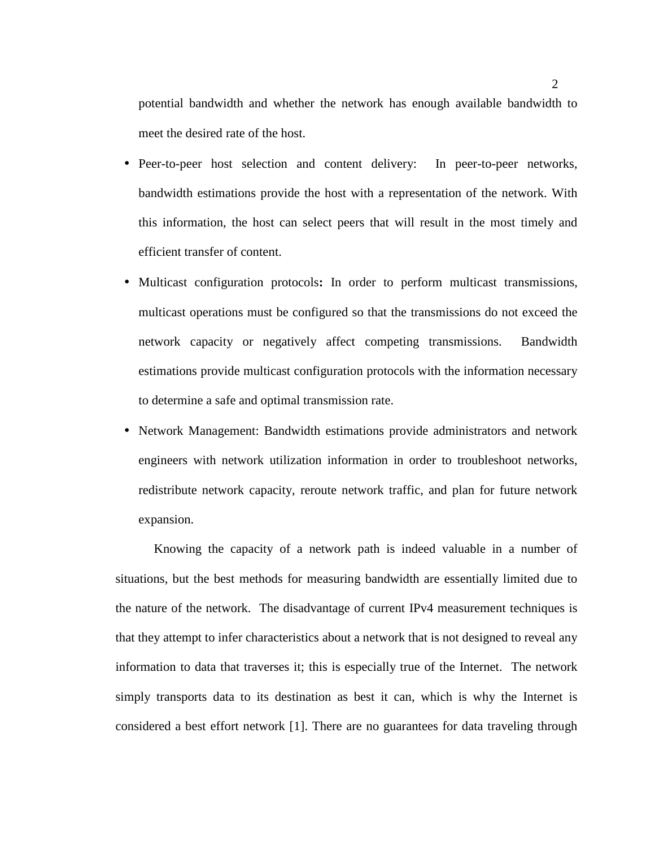potential bandwidth and whether the network has enough available bandwidth to meet the desired rate of the host.

- Peer-to-peer host selection and content delivery: In peer-to-peer networks, bandwidth estimations provide the host with a representation of the network. With this information, the host can select peers that will result in the most timely and efficient transfer of content.
- Multicast configuration protocols**:** In order to perform multicast transmissions, multicast operations must be configured so that the transmissions do not exceed the network capacity or negatively affect competing transmissions. Bandwidth estimations provide multicast configuration protocols with the information necessary to determine a safe and optimal transmission rate.
- Network Management: Bandwidth estimations provide administrators and network engineers with network utilization information in order to troubleshoot networks, redistribute network capacity, reroute network traffic, and plan for future network expansion.

Knowing the capacity of a network path is indeed valuable in a number of situations, but the best methods for measuring bandwidth are essentially limited due to the nature of the network. The disadvantage of current IPv4 measurement techniques is that they attempt to infer characteristics about a network that is not designed to reveal any information to data that traverses it; this is especially true of the Internet. The network simply transports data to its destination as best it can, which is why the Internet is considered a best effort network [1]. There are no guarantees for data traveling through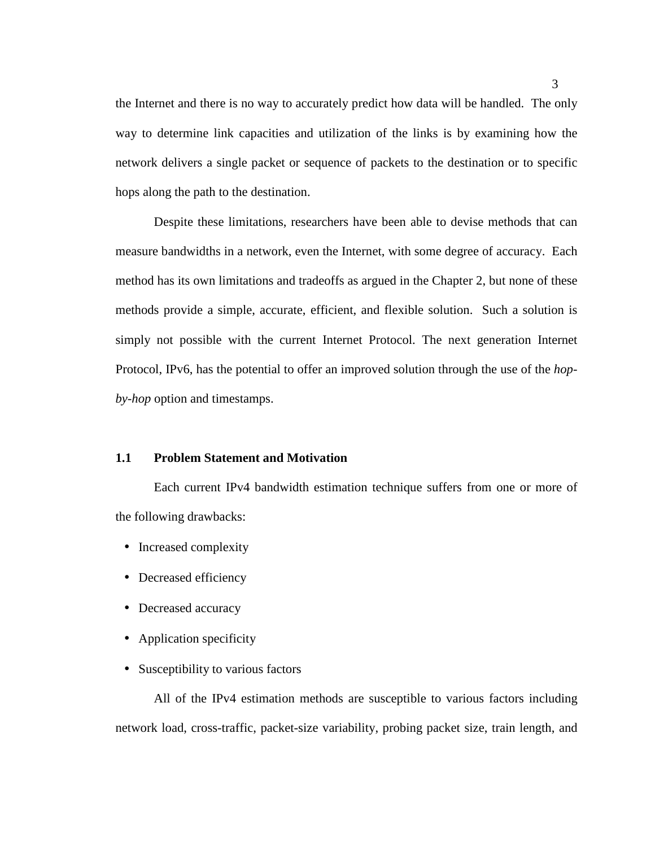the Internet and there is no way to accurately predict how data will be handled. The only way to determine link capacities and utilization of the links is by examining how the network delivers a single packet or sequence of packets to the destination or to specific hops along the path to the destination.

Despite these limitations, researchers have been able to devise methods that can measure bandwidths in a network, even the Internet, with some degree of accuracy. Each method has its own limitations and tradeoffs as argued in the Chapter 2, but none of these methods provide a simple, accurate, efficient, and flexible solution. Such a solution is simply not possible with the current Internet Protocol. The next generation Internet Protocol, IPv6, has the potential to offer an improved solution through the use of the *hopby-hop* option and timestamps.

#### **1.1 Problem Statement and Motivation**

Each current IPv4 bandwidth estimation technique suffers from one or more of the following drawbacks:

- Increased complexity
- Decreased efficiency
- Decreased accuracy
- Application specificity
- Susceptibility to various factors

All of the IPv4 estimation methods are susceptible to various factors including network load, cross-traffic, packet-size variability, probing packet size, train length, and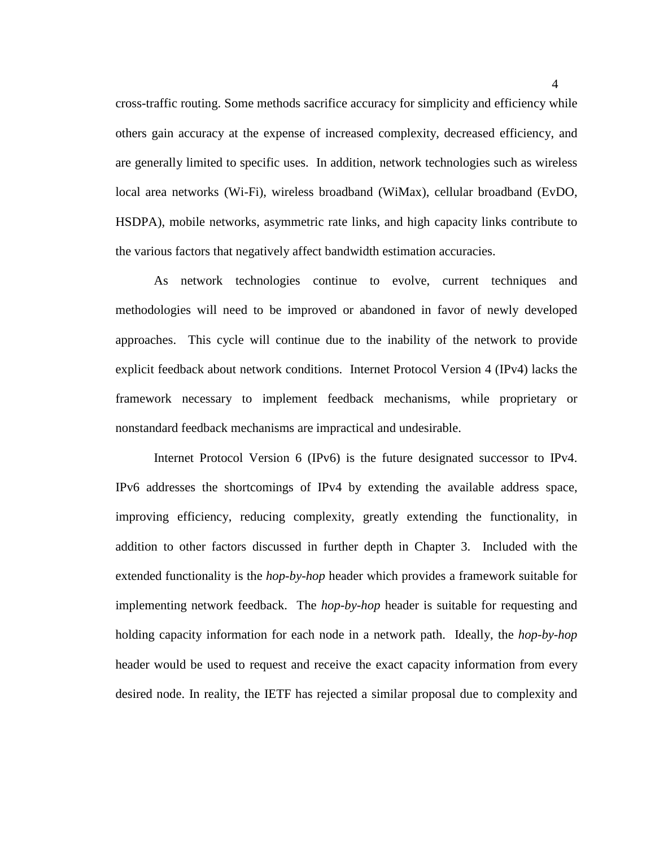cross-traffic routing. Some methods sacrifice accuracy for simplicity and efficiency while others gain accuracy at the expense of increased complexity, decreased efficiency, and are generally limited to specific uses. In addition, network technologies such as wireless local area networks (Wi-Fi), wireless broadband (WiMax), cellular broadband (EvDO, HSDPA), mobile networks, asymmetric rate links, and high capacity links contribute to the various factors that negatively affect bandwidth estimation accuracies.

As network technologies continue to evolve, current techniques and methodologies will need to be improved or abandoned in favor of newly developed approaches. This cycle will continue due to the inability of the network to provide explicit feedback about network conditions. Internet Protocol Version 4 (IPv4) lacks the framework necessary to implement feedback mechanisms, while proprietary or nonstandard feedback mechanisms are impractical and undesirable.

Internet Protocol Version 6 (IPv6) is the future designated successor to IPv4. IPv6 addresses the shortcomings of IPv4 by extending the available address space, improving efficiency, reducing complexity, greatly extending the functionality, in addition to other factors discussed in further depth in Chapter 3. Included with the extended functionality is the *hop-by-hop* header which provides a framework suitable for implementing network feedback. The *hop-by-hop* header is suitable for requesting and holding capacity information for each node in a network path. Ideally, the *hop-by-hop* header would be used to request and receive the exact capacity information from every desired node. In reality, the IETF has rejected a similar proposal due to complexity and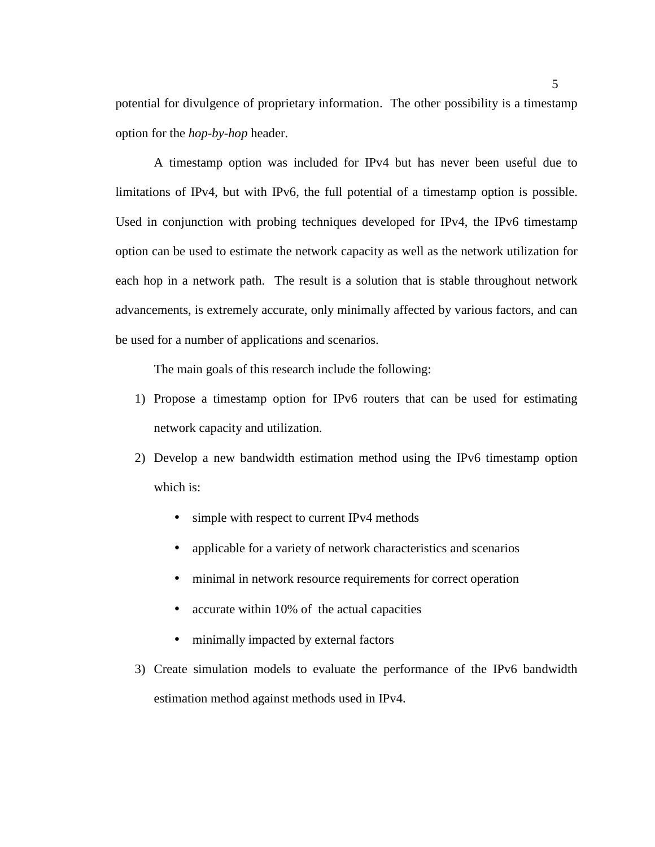potential for divulgence of proprietary information. The other possibility is a timestamp option for the *hop-by-hop* header.

A timestamp option was included for IPv4 but has never been useful due to limitations of IPv4, but with IPv6, the full potential of a timestamp option is possible. Used in conjunction with probing techniques developed for IPv4, the IPv6 timestamp option can be used to estimate the network capacity as well as the network utilization for each hop in a network path. The result is a solution that is stable throughout network advancements, is extremely accurate, only minimally affected by various factors, and can be used for a number of applications and scenarios.

The main goals of this research include the following:

- 1) Propose a timestamp option for IPv6 routers that can be used for estimating network capacity and utilization.
- 2) Develop a new bandwidth estimation method using the IPv6 timestamp option which is:
	- simple with respect to current IPv4 methods
	- applicable for a variety of network characteristics and scenarios
	- minimal in network resource requirements for correct operation
	- accurate within 10% of the actual capacities
	- minimally impacted by external factors
- 3) Create simulation models to evaluate the performance of the IPv6 bandwidth estimation method against methods used in IPv4.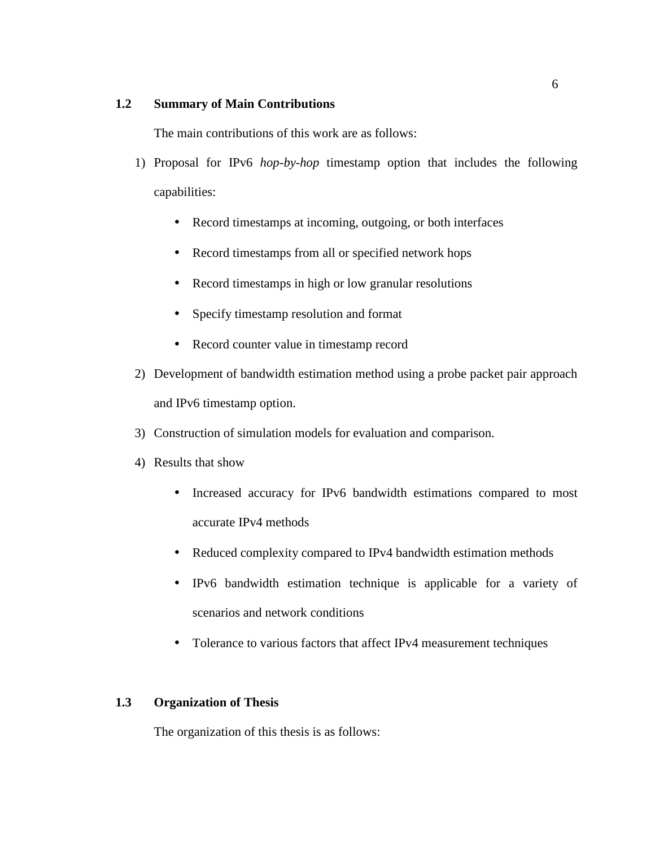# **1.2 Summary of Main Contributions**

The main contributions of this work are as follows:

- 1) Proposal for IPv6 *hop-by-hop* timestamp option that includes the following capabilities:
	- Record timestamps at incoming, outgoing, or both interfaces
	- Record timestamps from all or specified network hops
	- Record timestamps in high or low granular resolutions
	- Specify timestamp resolution and format
	- Record counter value in timestamp record
- 2) Development of bandwidth estimation method using a probe packet pair approach and IPv6 timestamp option.
- 3) Construction of simulation models for evaluation and comparison.
- 4) Results that show
	- Increased accuracy for IPv6 bandwidth estimations compared to most accurate IPv4 methods
	- Reduced complexity compared to IPv4 bandwidth estimation methods
	- IPv6 bandwidth estimation technique is applicable for a variety of scenarios and network conditions
	- Tolerance to various factors that affect IPv4 measurement techniques

# **1.3 Organization of Thesis**

The organization of this thesis is as follows: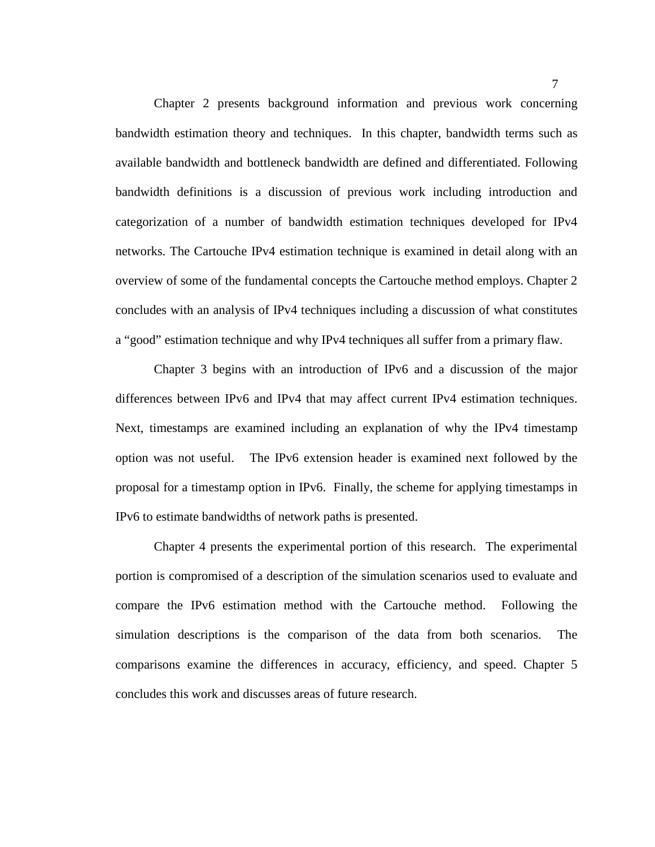Chapter 2 presents background information and previous work concerning bandwidth estimation theory and techniques. In this chapter, bandwidth terms such as available bandwidth and bottleneck bandwidth are defined and differentiated. Following bandwidth definitions is a discussion of previous work including introduction and categorization of a number of bandwidth estimation techniques developed for IPv4 networks. The Cartouche IPv4 estimation technique is examined in detail along with an overview of some of the fundamental concepts the Cartouche method employs. Chapter 2 concludes with an analysis of IPv4 techniques including a discussion of what constitutes a "good" estimation technique and why IPv4 techniques all suffer from a primary flaw.

Chapter 3 begins with an introduction of IPv6 and a discussion of the major differences between IPv6 and IPv4 that may affect current IPv4 estimation techniques. Next, timestamps are examined including an explanation of why the IPv4 timestamp option was not useful. The IPv6 extension header is examined next followed by the proposal for a timestamp option in IPv6. Finally, the scheme for applying timestamps in IPv6 to estimate bandwidths of network paths is presented.

Chapter 4 presents the experimental portion of this research. The experimental portion is compromised of a description of the simulation scenarios used to evaluate and compare the IPv6 estimation method with the Cartouche method. Following the simulation descriptions is the comparison of the data from both scenarios. The comparisons examine the differences in accuracy, efficiency, and speed. Chapter 5 concludes this work and discusses areas of future research.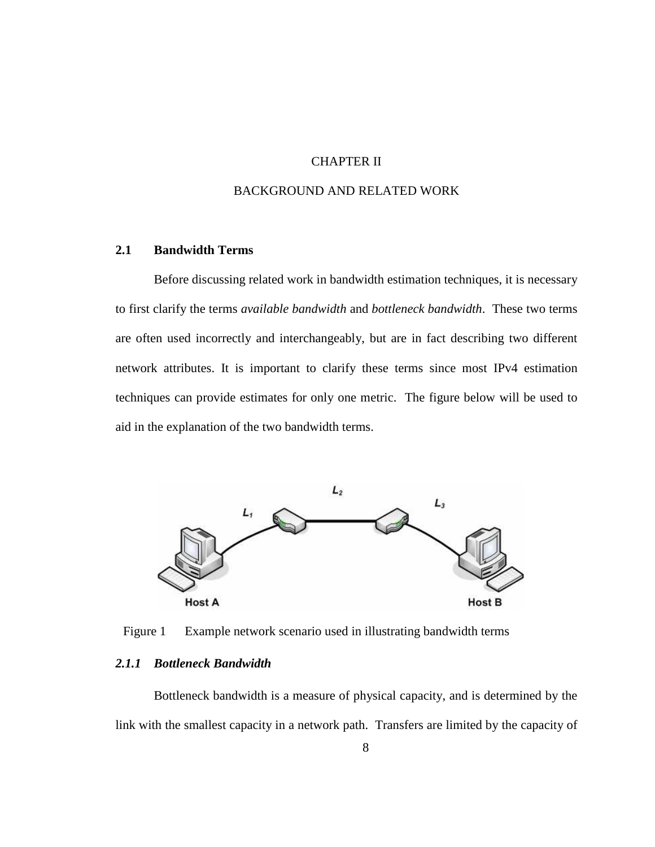# CHAPTER II

# BACKGROUND AND RELATED WORK

### **2.1 Bandwidth Terms**

Before discussing related work in bandwidth estimation techniques, it is necessary to first clarify the terms *available bandwidth* and *bottleneck bandwidth*. These two terms are often used incorrectly and interchangeably, but are in fact describing two different network attributes. It is important to clarify these terms since most IPv4 estimation techniques can provide estimates for only one metric. The figure below will be used to aid in the explanation of the two bandwidth terms.



Figure 1 Example network scenario used in illustrating bandwidth terms

## *2.1.1 Bottleneck Bandwidth*

Bottleneck bandwidth is a measure of physical capacity, and is determined by the link with the smallest capacity in a network path. Transfers are limited by the capacity of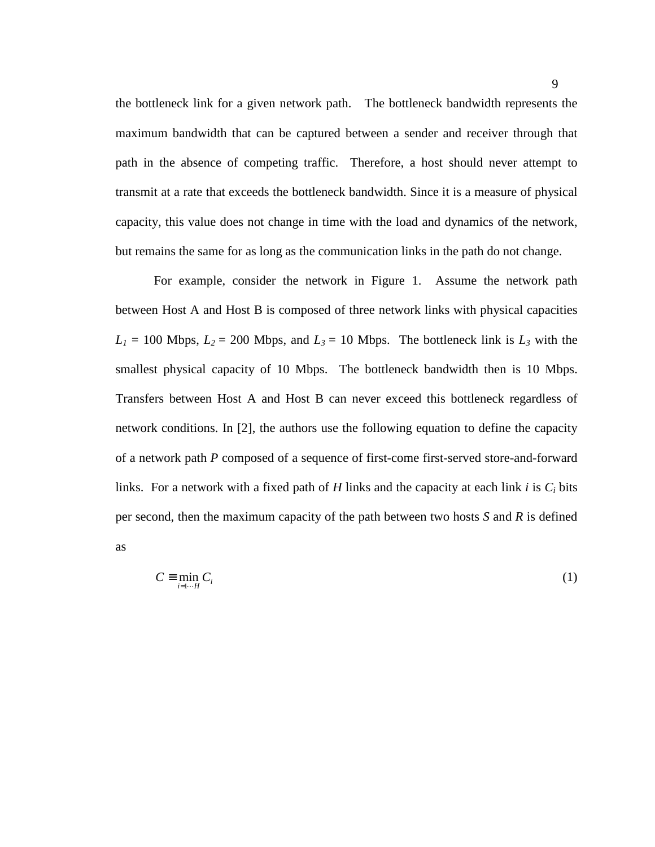the bottleneck link for a given network path. The bottleneck bandwidth represents the maximum bandwidth that can be captured between a sender and receiver through that path in the absence of competing traffic. Therefore, a host should never attempt to transmit at a rate that exceeds the bottleneck bandwidth. Since it is a measure of physical capacity, this value does not change in time with the load and dynamics of the network, but remains the same for as long as the communication links in the path do not change.

For example, consider the network in Figure 1. Assume the network path between Host A and Host B is composed of three network links with physical capacities  $L_1 = 100$  Mbps,  $L_2 = 200$  Mbps, and  $L_3 = 10$  Mbps. The bottleneck link is  $L_3$  with the smallest physical capacity of 10 Mbps. The bottleneck bandwidth then is 10 Mbps. Transfers between Host A and Host B can never exceed this bottleneck regardless of network conditions. In [2], the authors use the following equation to define the capacity of a network path *P* composed of a sequence of first-come first-served store-and-forward links. For a network with a fixed path of  $H$  links and the capacity at each link  $i$  is  $C_i$  bits per second, then the maximum capacity of the path between two hosts *S* and *R* is defined as

$$
C \equiv \min_{i=1\cdots H} C_i \tag{1}
$$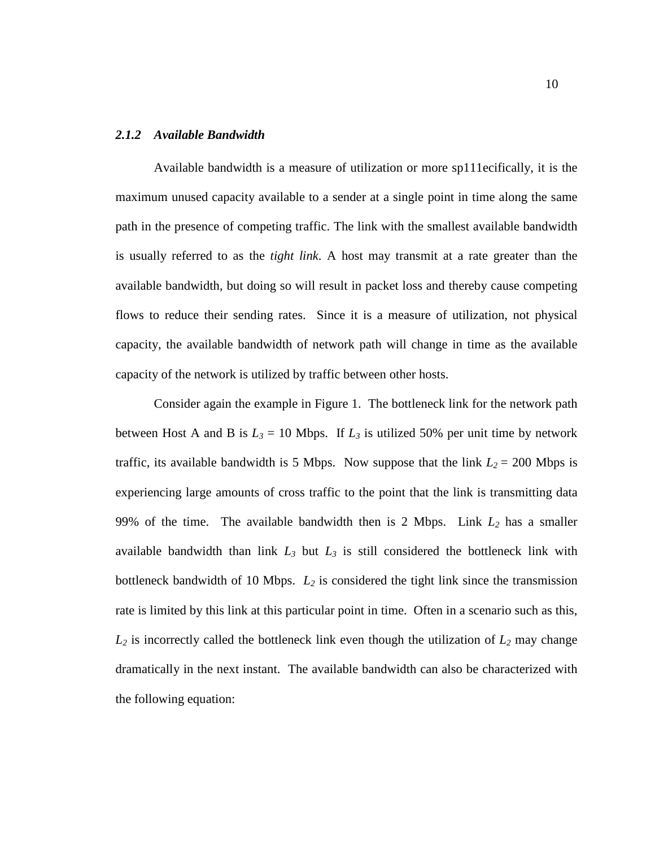#### *2.1.2 Available Bandwidth*

Available bandwidth is a measure of utilization or more sp111ecifically, it is the maximum unused capacity available to a sender at a single point in time along the same path in the presence of competing traffic. The link with the smallest available bandwidth is usually referred to as the *tight link*. A host may transmit at a rate greater than the available bandwidth, but doing so will result in packet loss and thereby cause competing flows to reduce their sending rates. Since it is a measure of utilization, not physical capacity, the available bandwidth of network path will change in time as the available capacity of the network is utilized by traffic between other hosts.

Consider again the example in Figure 1. The bottleneck link for the network path between Host A and B is  $L_3 = 10$  Mbps. If  $L_3$  is utilized 50% per unit time by network traffic, its available bandwidth is 5 Mbps. Now suppose that the link  $L_2 = 200$  Mbps is experiencing large amounts of cross traffic to the point that the link is transmitting data 99% of the time. The available bandwidth then is 2 Mbps. Link *L2* has a smaller available bandwidth than link  $L_3$  but  $L_3$  is still considered the bottleneck link with bottleneck bandwidth of 10 Mbps. *L2* is considered the tight link since the transmission rate is limited by this link at this particular point in time. Often in a scenario such as this,  $L_2$  is incorrectly called the bottleneck link even though the utilization of  $L_2$  may change dramatically in the next instant. The available bandwidth can also be characterized with the following equation: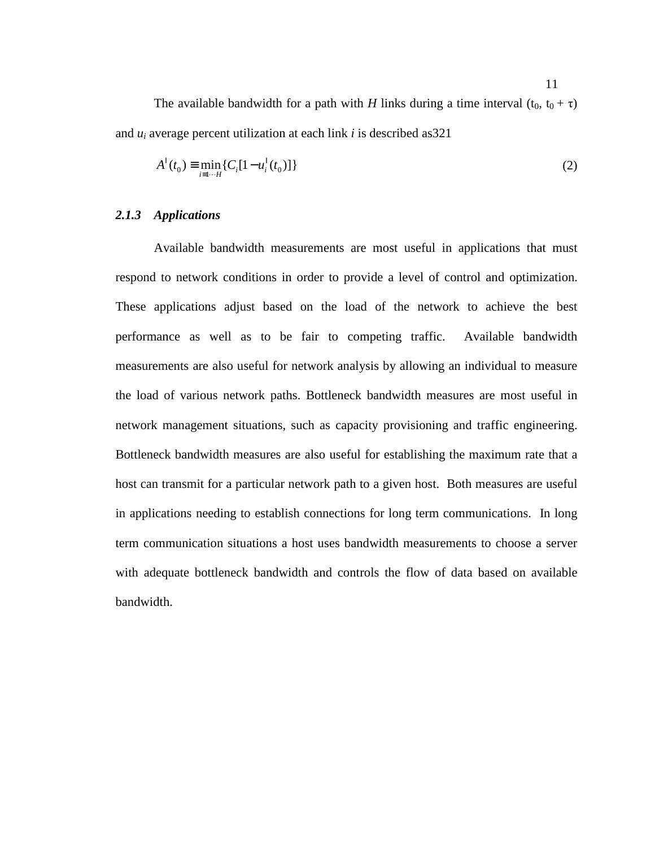The available bandwidth for a path with *H* links during a time interval  $(t_0, t_0 + \tau)$ and *u<sup>i</sup>* average percent utilization at each link *i* is described as321

$$
A^{I}(t_{0}) \equiv \min_{i=1\cdots H} \{C_{i}[1-u_{i}^{I}(t_{0})]\}
$$
\n(2)

#### *2.1.3 Applications*

Available bandwidth measurements are most useful in applications that must respond to network conditions in order to provide a level of control and optimization. These applications adjust based on the load of the network to achieve the best performance as well as to be fair to competing traffic. Available bandwidth measurements are also useful for network analysis by allowing an individual to measure the load of various network paths. Bottleneck bandwidth measures are most useful in network management situations, such as capacity provisioning and traffic engineering. Bottleneck bandwidth measures are also useful for establishing the maximum rate that a host can transmit for a particular network path to a given host. Both measures are useful in applications needing to establish connections for long term communications. In long term communication situations a host uses bandwidth measurements to choose a server with adequate bottleneck bandwidth and controls the flow of data based on available bandwidth.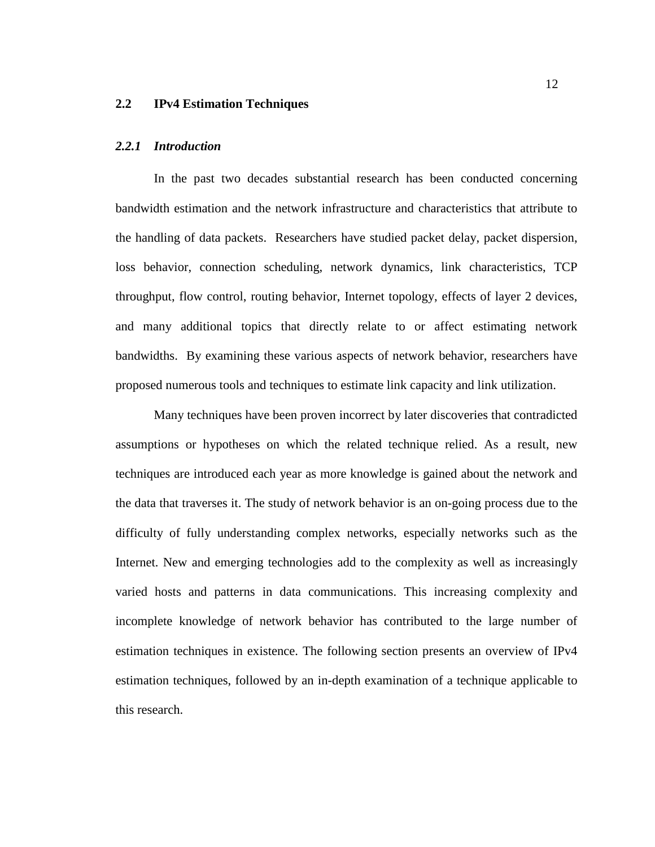#### **2.2 IPv4 Estimation Techniques**

#### *2.2.1 Introduction*

In the past two decades substantial research has been conducted concerning bandwidth estimation and the network infrastructure and characteristics that attribute to the handling of data packets. Researchers have studied packet delay, packet dispersion, loss behavior, connection scheduling, network dynamics, link characteristics, TCP throughput, flow control, routing behavior, Internet topology, effects of layer 2 devices, and many additional topics that directly relate to or affect estimating network bandwidths. By examining these various aspects of network behavior, researchers have proposed numerous tools and techniques to estimate link capacity and link utilization.

Many techniques have been proven incorrect by later discoveries that contradicted assumptions or hypotheses on which the related technique relied. As a result, new techniques are introduced each year as more knowledge is gained about the network and the data that traverses it. The study of network behavior is an on-going process due to the difficulty of fully understanding complex networks, especially networks such as the Internet. New and emerging technologies add to the complexity as well as increasingly varied hosts and patterns in data communications. This increasing complexity and incomplete knowledge of network behavior has contributed to the large number of estimation techniques in existence. The following section presents an overview of IPv4 estimation techniques, followed by an in-depth examination of a technique applicable to this research.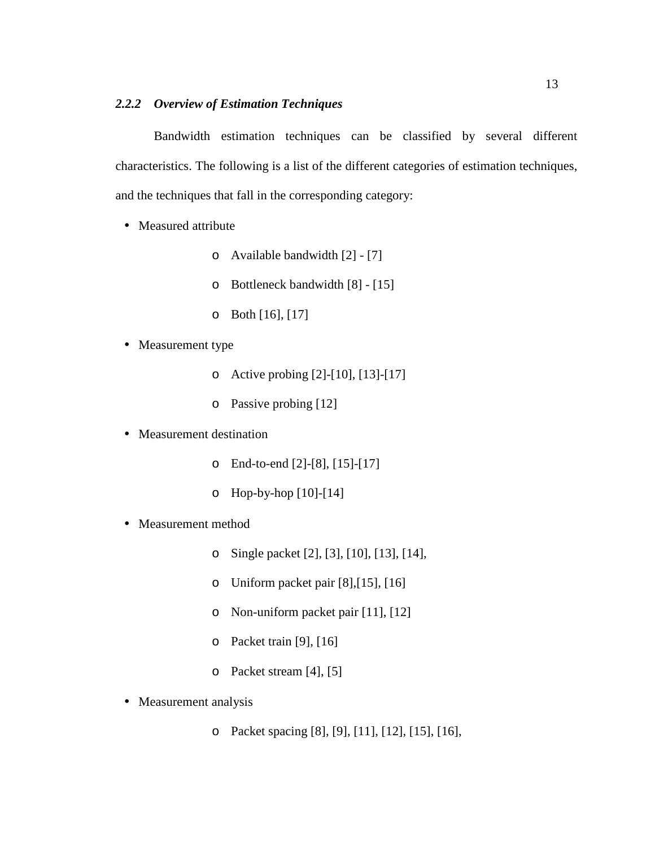# *2.2.2 Overview of Estimation Techniques*

Bandwidth estimation techniques can be classified by several different characteristics. The following is a list of the different categories of estimation techniques, and the techniques that fall in the corresponding category:

- Measured attribute
	- o Available bandwidth [2] [7]
	- o Bottleneck bandwidth [8] [15]
	- o Both [16], [17]
- Measurement type
	- o Active probing [2]-[10], [13]-[17]
	- o Passive probing [12]
- Measurement destination
	- o End-to-end [2]-[8], [15]-[17]
	- o Hop-by-hop [10]-[14]
- Measurement method
	- o Single packet [2], [3], [10], [13], [14],
	- o Uniform packet pair [8],[15], [16]
	- o Non-uniform packet pair [11], [12]
	- o Packet train [9], [16]
	- o Packet stream [4], [5]
- Measurement analysis

o Packet spacing [8], [9], [11], [12], [15], [16],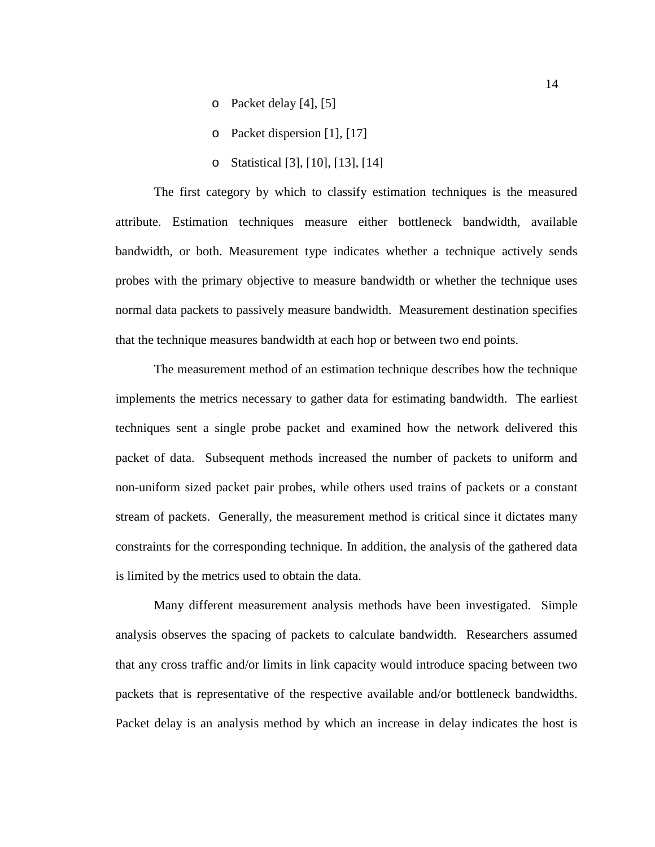- o Packet delay [4], [5]
- o Packet dispersion [1], [17]
- o Statistical [3], [10], [13], [14]

The first category by which to classify estimation techniques is the measured attribute. Estimation techniques measure either bottleneck bandwidth, available bandwidth, or both. Measurement type indicates whether a technique actively sends probes with the primary objective to measure bandwidth or whether the technique uses normal data packets to passively measure bandwidth. Measurement destination specifies that the technique measures bandwidth at each hop or between two end points.

The measurement method of an estimation technique describes how the technique implements the metrics necessary to gather data for estimating bandwidth. The earliest techniques sent a single probe packet and examined how the network delivered this packet of data. Subsequent methods increased the number of packets to uniform and non-uniform sized packet pair probes, while others used trains of packets or a constant stream of packets. Generally, the measurement method is critical since it dictates many constraints for the corresponding technique. In addition, the analysis of the gathered data is limited by the metrics used to obtain the data.

Many different measurement analysis methods have been investigated. Simple analysis observes the spacing of packets to calculate bandwidth. Researchers assumed that any cross traffic and/or limits in link capacity would introduce spacing between two packets that is representative of the respective available and/or bottleneck bandwidths. Packet delay is an analysis method by which an increase in delay indicates the host is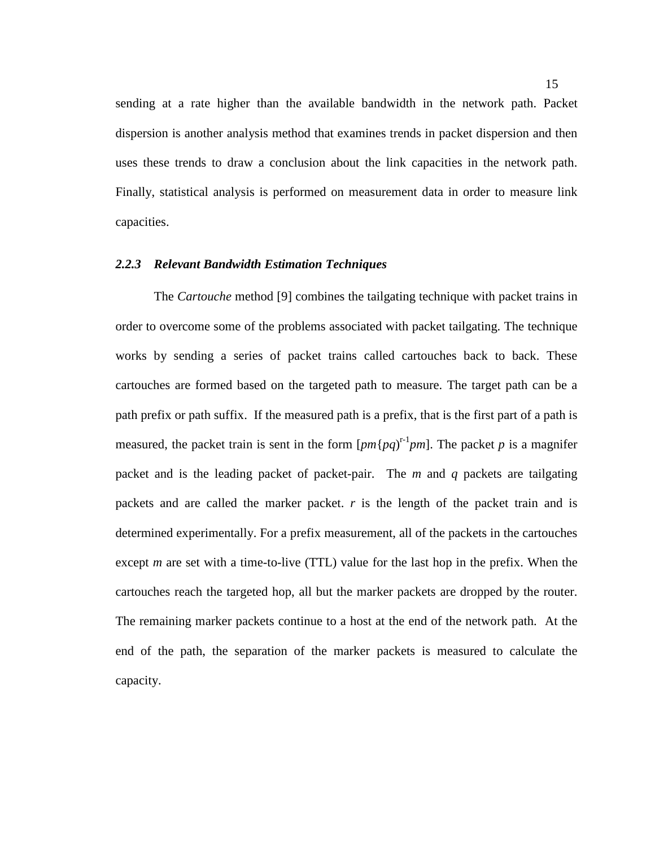sending at a rate higher than the available bandwidth in the network path. Packet dispersion is another analysis method that examines trends in packet dispersion and then uses these trends to draw a conclusion about the link capacities in the network path. Finally, statistical analysis is performed on measurement data in order to measure link capacities.

#### *2.2.3 Relevant Bandwidth Estimation Techniques*

The *Cartouche* method [9] combines the tailgating technique with packet trains in order to overcome some of the problems associated with packet tailgating. The technique works by sending a series of packet trains called cartouches back to back. These cartouches are formed based on the targeted path to measure. The target path can be a path prefix or path suffix. If the measured path is a prefix, that is the first part of a path is measured, the packet train is sent in the form  $[pm{pq}]^{r-1}pm$ ]. The packet p is a magnifer packet and is the leading packet of packet-pair. The *m* and *q* packets are tailgating packets and are called the marker packet. *r* is the length of the packet train and is determined experimentally. For a prefix measurement, all of the packets in the cartouches except *m* are set with a time-to-live (TTL) value for the last hop in the prefix. When the cartouches reach the targeted hop, all but the marker packets are dropped by the router. The remaining marker packets continue to a host at the end of the network path. At the end of the path, the separation of the marker packets is measured to calculate the capacity.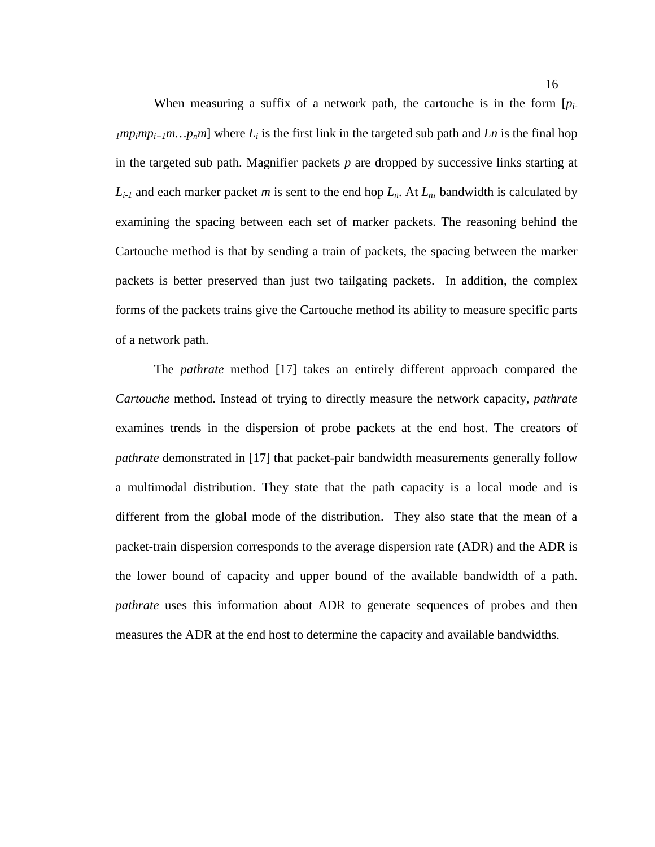When measuring a suffix of a network path, the cartouche is in the form [*pi-* $1^{mp}$ *mp*<sub>*i*</sub> $+1^{m}$ … $p_{n}$ <sup>*m*</sup>] where  $L_{i}$  is the first link in the targeted sub path and *Ln* is the final hop in the targeted sub path. Magnifier packets *p* are dropped by successive links starting at  $L_{i-1}$  and each marker packet *m* is sent to the end hop  $L_n$ . At  $L_n$ , bandwidth is calculated by examining the spacing between each set of marker packets. The reasoning behind the Cartouche method is that by sending a train of packets, the spacing between the marker packets is better preserved than just two tailgating packets. In addition, the complex forms of the packets trains give the Cartouche method its ability to measure specific parts of a network path.

The *pathrate* method [17] takes an entirely different approach compared the *Cartouche* method. Instead of trying to directly measure the network capacity, *pathrate* examines trends in the dispersion of probe packets at the end host. The creators of *pathrate* demonstrated in [17] that packet-pair bandwidth measurements generally follow a multimodal distribution. They state that the path capacity is a local mode and is different from the global mode of the distribution. They also state that the mean of a packet-train dispersion corresponds to the average dispersion rate (ADR) and the ADR is the lower bound of capacity and upper bound of the available bandwidth of a path. *pathrate* uses this information about ADR to generate sequences of probes and then measures the ADR at the end host to determine the capacity and available bandwidths.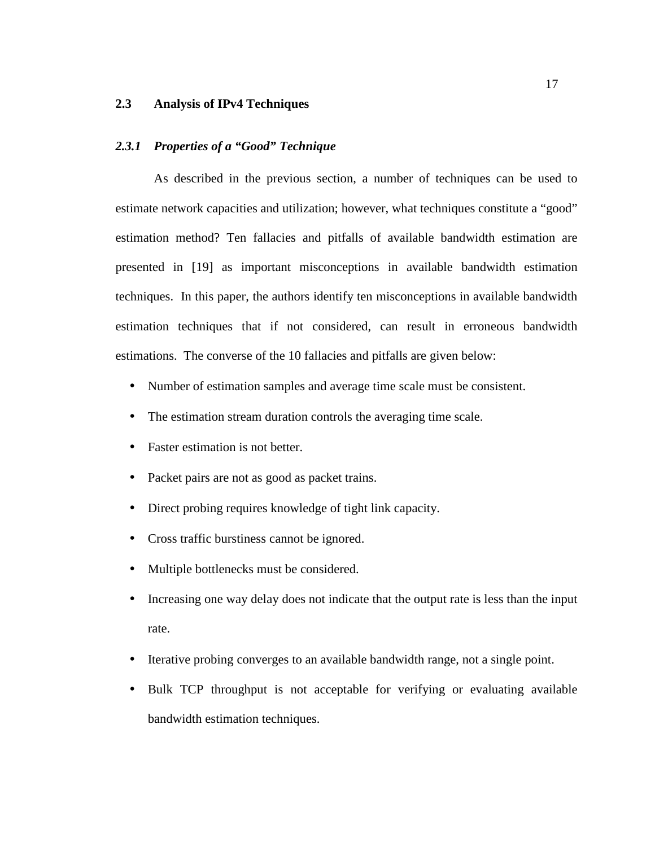#### **2.3 Analysis of IPv4 Techniques**

#### *2.3.1 Properties of a "Good" Technique*

As described in the previous section, a number of techniques can be used to estimate network capacities and utilization; however, what techniques constitute a "good" estimation method? Ten fallacies and pitfalls of available bandwidth estimation are presented in [19] as important misconceptions in available bandwidth estimation techniques. In this paper, the authors identify ten misconceptions in available bandwidth estimation techniques that if not considered, can result in erroneous bandwidth estimations. The converse of the 10 fallacies and pitfalls are given below:

- Number of estimation samples and average time scale must be consistent.
- The estimation stream duration controls the averaging time scale.
- Faster estimation is not better.
- Packet pairs are not as good as packet trains.
- Direct probing requires knowledge of tight link capacity.
- Cross traffic burstiness cannot be ignored.
- Multiple bottlenecks must be considered.
- Increasing one way delay does not indicate that the output rate is less than the input rate.
- Iterative probing converges to an available bandwidth range, not a single point.
- Bulk TCP throughput is not acceptable for verifying or evaluating available bandwidth estimation techniques.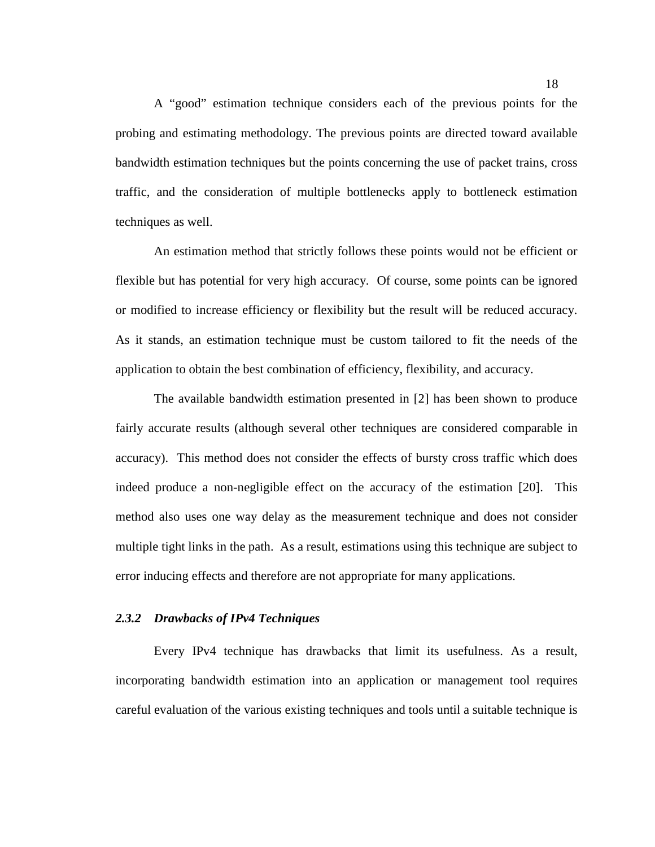A "good" estimation technique considers each of the previous points for the probing and estimating methodology. The previous points are directed toward available bandwidth estimation techniques but the points concerning the use of packet trains, cross traffic, and the consideration of multiple bottlenecks apply to bottleneck estimation techniques as well.

An estimation method that strictly follows these points would not be efficient or flexible but has potential for very high accuracy. Of course, some points can be ignored or modified to increase efficiency or flexibility but the result will be reduced accuracy. As it stands, an estimation technique must be custom tailored to fit the needs of the application to obtain the best combination of efficiency, flexibility, and accuracy.

The available bandwidth estimation presented in [2] has been shown to produce fairly accurate results (although several other techniques are considered comparable in accuracy). This method does not consider the effects of bursty cross traffic which does indeed produce a non-negligible effect on the accuracy of the estimation [20]. This method also uses one way delay as the measurement technique and does not consider multiple tight links in the path. As a result, estimations using this technique are subject to error inducing effects and therefore are not appropriate for many applications.

#### *2.3.2 Drawbacks of IPv4 Techniques*

Every IPv4 technique has drawbacks that limit its usefulness. As a result, incorporating bandwidth estimation into an application or management tool requires careful evaluation of the various existing techniques and tools until a suitable technique is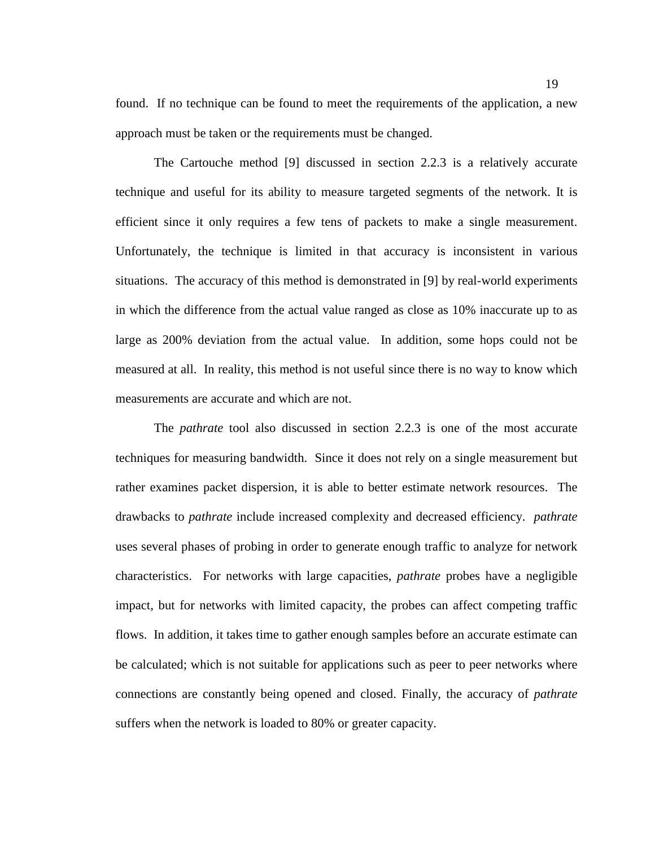found. If no technique can be found to meet the requirements of the application, a new approach must be taken or the requirements must be changed.

The Cartouche method [9] discussed in section 2.2.3 is a relatively accurate technique and useful for its ability to measure targeted segments of the network. It is efficient since it only requires a few tens of packets to make a single measurement. Unfortunately, the technique is limited in that accuracy is inconsistent in various situations. The accuracy of this method is demonstrated in [9] by real-world experiments in which the difference from the actual value ranged as close as 10% inaccurate up to as large as 200% deviation from the actual value. In addition, some hops could not be measured at all. In reality, this method is not useful since there is no way to know which measurements are accurate and which are not.

The *pathrate* tool also discussed in section 2.2.3 is one of the most accurate techniques for measuring bandwidth. Since it does not rely on a single measurement but rather examines packet dispersion, it is able to better estimate network resources. The drawbacks to *pathrate* include increased complexity and decreased efficiency. *pathrate*  uses several phases of probing in order to generate enough traffic to analyze for network characteristics. For networks with large capacities, *pathrate* probes have a negligible impact, but for networks with limited capacity, the probes can affect competing traffic flows. In addition, it takes time to gather enough samples before an accurate estimate can be calculated; which is not suitable for applications such as peer to peer networks where connections are constantly being opened and closed. Finally, the accuracy of *pathrate* suffers when the network is loaded to 80% or greater capacity.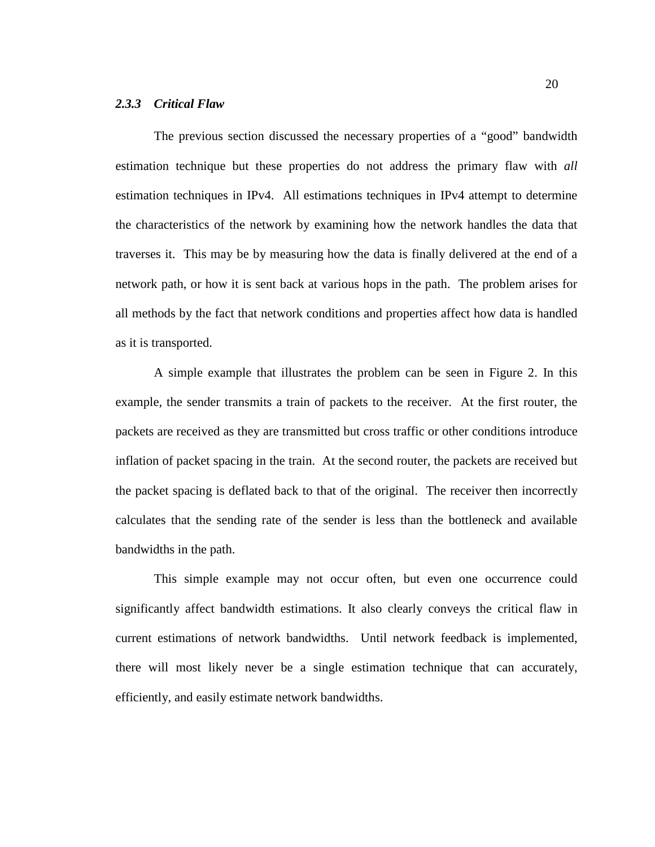#### *2.3.3 Critical Flaw*

The previous section discussed the necessary properties of a "good" bandwidth estimation technique but these properties do not address the primary flaw with *all* estimation techniques in IPv4. All estimations techniques in IPv4 attempt to determine the characteristics of the network by examining how the network handles the data that traverses it. This may be by measuring how the data is finally delivered at the end of a network path, or how it is sent back at various hops in the path. The problem arises for all methods by the fact that network conditions and properties affect how data is handled as it is transported.

A simple example that illustrates the problem can be seen in Figure 2. In this example, the sender transmits a train of packets to the receiver. At the first router, the packets are received as they are transmitted but cross traffic or other conditions introduce inflation of packet spacing in the train. At the second router, the packets are received but the packet spacing is deflated back to that of the original. The receiver then incorrectly calculates that the sending rate of the sender is less than the bottleneck and available bandwidths in the path.

This simple example may not occur often, but even one occurrence could significantly affect bandwidth estimations. It also clearly conveys the critical flaw in current estimations of network bandwidths. Until network feedback is implemented, there will most likely never be a single estimation technique that can accurately, efficiently, and easily estimate network bandwidths.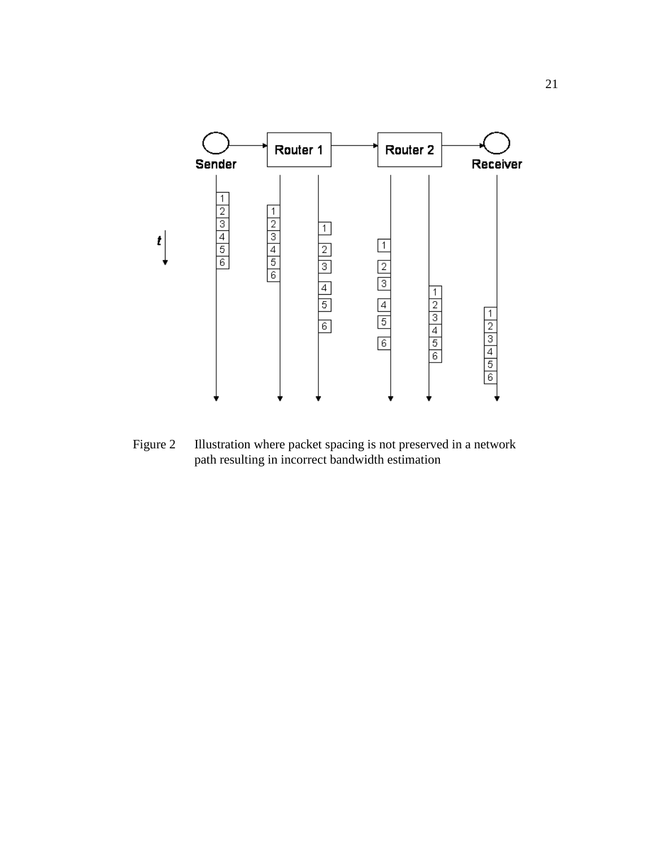

Figure 2 Illustration where packet spacing is not preserved in a network path resulting in incorrect bandwidth estimation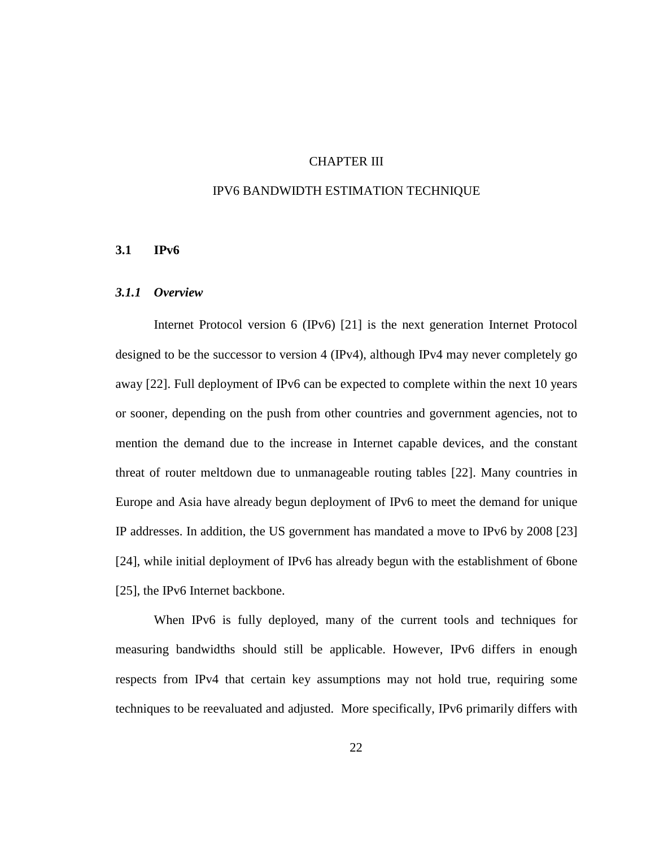# CHAPTER III

#### IPV6 BANDWIDTH ESTIMATION TECHNIQUE

#### **3.1 IPv6**

#### *3.1.1 Overview*

Internet Protocol version 6 (IPv6) [21] is the next generation Internet Protocol designed to be the successor to version 4 (IPv4), although IPv4 may never completely go away [22]. Full deployment of IPv6 can be expected to complete within the next 10 years or sooner, depending on the push from other countries and government agencies, not to mention the demand due to the increase in Internet capable devices, and the constant threat of router meltdown due to unmanageable routing tables [22]. Many countries in Europe and Asia have already begun deployment of IPv6 to meet the demand for unique IP addresses. In addition, the US government has mandated a move to IPv6 by 2008 [23] [24], while initial deployment of IPv6 has already begun with the establishment of 6bone [25], the IPv6 Internet backbone.

When IPv6 is fully deployed, many of the current tools and techniques for measuring bandwidths should still be applicable. However, IPv6 differs in enough respects from IPv4 that certain key assumptions may not hold true, requiring some techniques to be reevaluated and adjusted. More specifically, IPv6 primarily differs with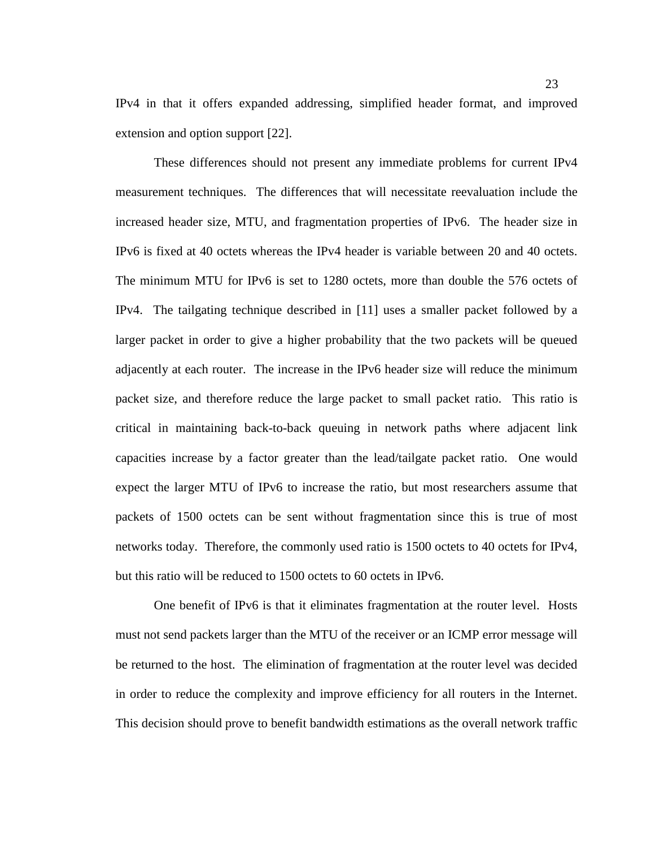IPv4 in that it offers expanded addressing, simplified header format, and improved extension and option support [22].

These differences should not present any immediate problems for current IPv4 measurement techniques. The differences that will necessitate reevaluation include the increased header size, MTU, and fragmentation properties of IPv6. The header size in IPv6 is fixed at 40 octets whereas the IPv4 header is variable between 20 and 40 octets. The minimum MTU for IPv6 is set to 1280 octets, more than double the 576 octets of IPv4. The tailgating technique described in [11] uses a smaller packet followed by a larger packet in order to give a higher probability that the two packets will be queued adjacently at each router. The increase in the IPv6 header size will reduce the minimum packet size, and therefore reduce the large packet to small packet ratio. This ratio is critical in maintaining back-to-back queuing in network paths where adjacent link capacities increase by a factor greater than the lead/tailgate packet ratio. One would expect the larger MTU of IPv6 to increase the ratio, but most researchers assume that packets of 1500 octets can be sent without fragmentation since this is true of most networks today. Therefore, the commonly used ratio is 1500 octets to 40 octets for IPv4, but this ratio will be reduced to 1500 octets to 60 octets in IPv6.

One benefit of IPv6 is that it eliminates fragmentation at the router level. Hosts must not send packets larger than the MTU of the receiver or an ICMP error message will be returned to the host. The elimination of fragmentation at the router level was decided in order to reduce the complexity and improve efficiency for all routers in the Internet. This decision should prove to benefit bandwidth estimations as the overall network traffic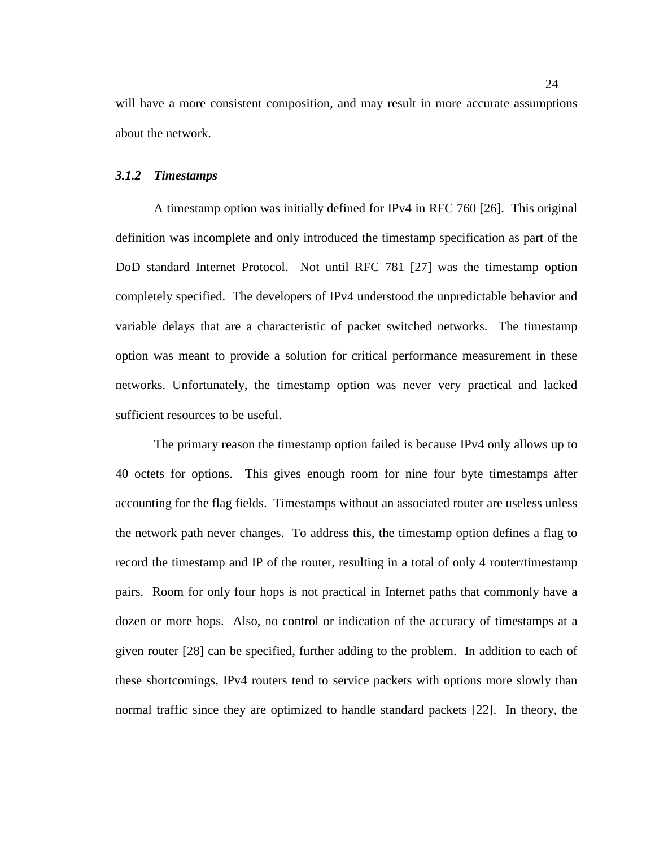will have a more consistent composition, and may result in more accurate assumptions about the network.

### *3.1.2 Timestamps*

A timestamp option was initially defined for IPv4 in RFC 760 [26]. This original definition was incomplete and only introduced the timestamp specification as part of the DoD standard Internet Protocol. Not until RFC 781 [27] was the timestamp option completely specified. The developers of IPv4 understood the unpredictable behavior and variable delays that are a characteristic of packet switched networks. The timestamp option was meant to provide a solution for critical performance measurement in these networks. Unfortunately, the timestamp option was never very practical and lacked sufficient resources to be useful.

The primary reason the timestamp option failed is because IPv4 only allows up to 40 octets for options. This gives enough room for nine four byte timestamps after accounting for the flag fields. Timestamps without an associated router are useless unless the network path never changes. To address this, the timestamp option defines a flag to record the timestamp and IP of the router, resulting in a total of only 4 router/timestamp pairs. Room for only four hops is not practical in Internet paths that commonly have a dozen or more hops. Also, no control or indication of the accuracy of timestamps at a given router [28] can be specified, further adding to the problem. In addition to each of these shortcomings, IPv4 routers tend to service packets with options more slowly than normal traffic since they are optimized to handle standard packets [22]. In theory, the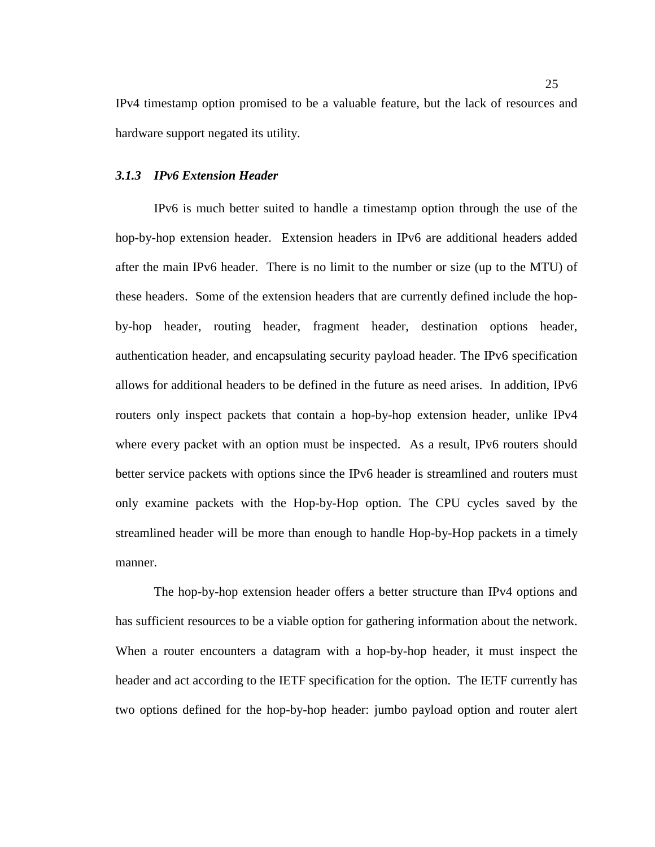IPv4 timestamp option promised to be a valuable feature, but the lack of resources and hardware support negated its utility.

#### *3.1.3 IPv6 Extension Header*

IPv6 is much better suited to handle a timestamp option through the use of the hop-by-hop extension header. Extension headers in IPv6 are additional headers added after the main IPv6 header. There is no limit to the number or size (up to the MTU) of these headers. Some of the extension headers that are currently defined include the hopby-hop header, routing header, fragment header, destination options header, authentication header, and encapsulating security payload header. The IPv6 specification allows for additional headers to be defined in the future as need arises. In addition, IPv6 routers only inspect packets that contain a hop-by-hop extension header, unlike IPv4 where every packet with an option must be inspected. As a result, IPv6 routers should better service packets with options since the IPv6 header is streamlined and routers must only examine packets with the Hop-by-Hop option. The CPU cycles saved by the streamlined header will be more than enough to handle Hop-by-Hop packets in a timely manner.

The hop-by-hop extension header offers a better structure than IPv4 options and has sufficient resources to be a viable option for gathering information about the network. When a router encounters a datagram with a hop-by-hop header, it must inspect the header and act according to the IETF specification for the option. The IETF currently has two options defined for the hop-by-hop header: jumbo payload option and router alert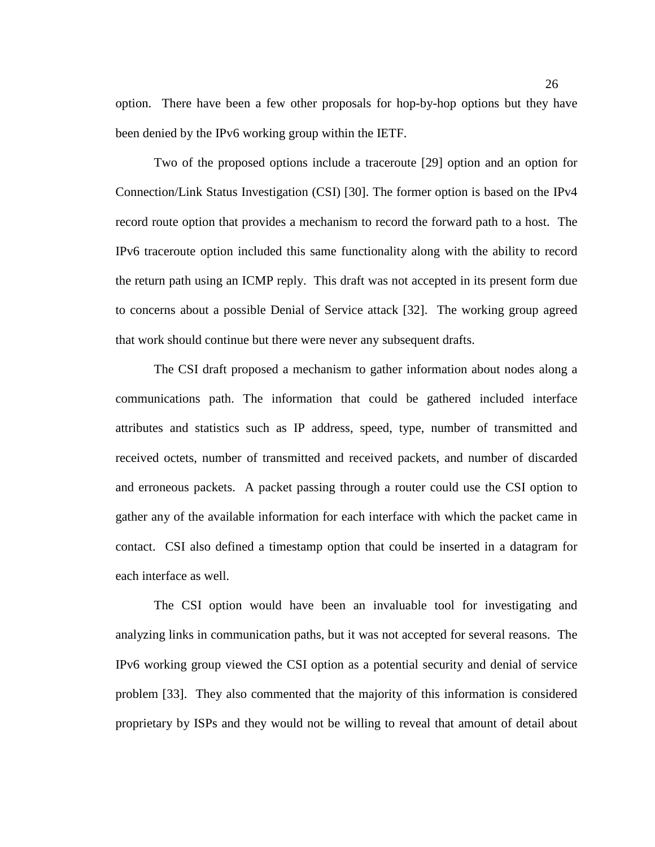option. There have been a few other proposals for hop-by-hop options but they have been denied by the IPv6 working group within the IETF.

Two of the proposed options include a traceroute [29] option and an option for Connection/Link Status Investigation (CSI) [30]. The former option is based on the IPv4 record route option that provides a mechanism to record the forward path to a host. The IPv6 traceroute option included this same functionality along with the ability to record the return path using an ICMP reply. This draft was not accepted in its present form due to concerns about a possible Denial of Service attack [32]. The working group agreed that work should continue but there were never any subsequent drafts.

The CSI draft proposed a mechanism to gather information about nodes along a communications path. The information that could be gathered included interface attributes and statistics such as IP address, speed, type, number of transmitted and received octets, number of transmitted and received packets, and number of discarded and erroneous packets. A packet passing through a router could use the CSI option to gather any of the available information for each interface with which the packet came in contact. CSI also defined a timestamp option that could be inserted in a datagram for each interface as well.

The CSI option would have been an invaluable tool for investigating and analyzing links in communication paths, but it was not accepted for several reasons. The IPv6 working group viewed the CSI option as a potential security and denial of service problem [33]. They also commented that the majority of this information is considered proprietary by ISPs and they would not be willing to reveal that amount of detail about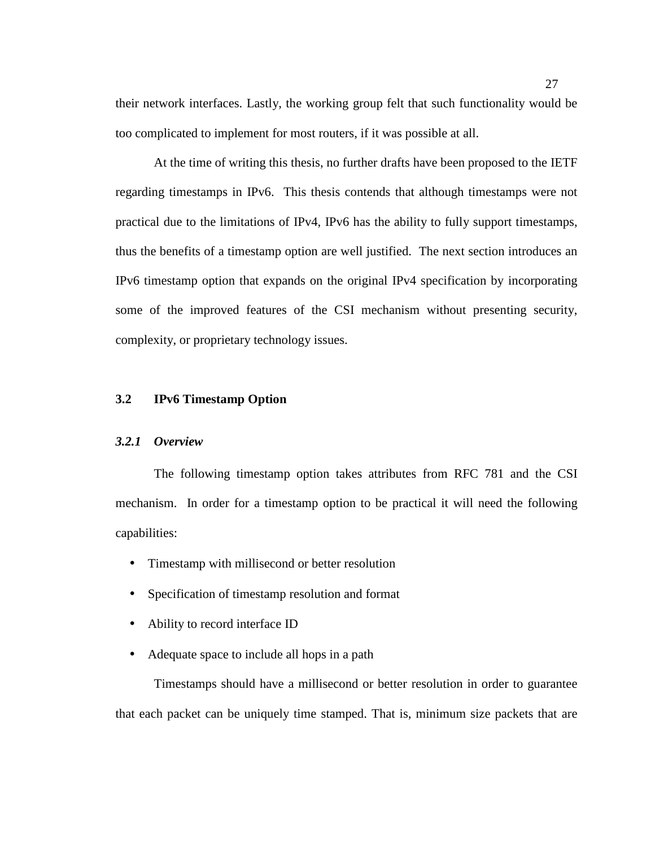their network interfaces. Lastly, the working group felt that such functionality would be too complicated to implement for most routers, if it was possible at all.

At the time of writing this thesis, no further drafts have been proposed to the IETF regarding timestamps in IPv6. This thesis contends that although timestamps were not practical due to the limitations of IPv4, IPv6 has the ability to fully support timestamps, thus the benefits of a timestamp option are well justified. The next section introduces an IPv6 timestamp option that expands on the original IPv4 specification by incorporating some of the improved features of the CSI mechanism without presenting security, complexity, or proprietary technology issues.

## **3.2 IPv6 Timestamp Option**

#### *3.2.1 Overview*

The following timestamp option takes attributes from RFC 781 and the CSI mechanism. In order for a timestamp option to be practical it will need the following capabilities:

- Timestamp with millisecond or better resolution
- Specification of timestamp resolution and format
- Ability to record interface ID
- Adequate space to include all hops in a path

Timestamps should have a millisecond or better resolution in order to guarantee that each packet can be uniquely time stamped. That is, minimum size packets that are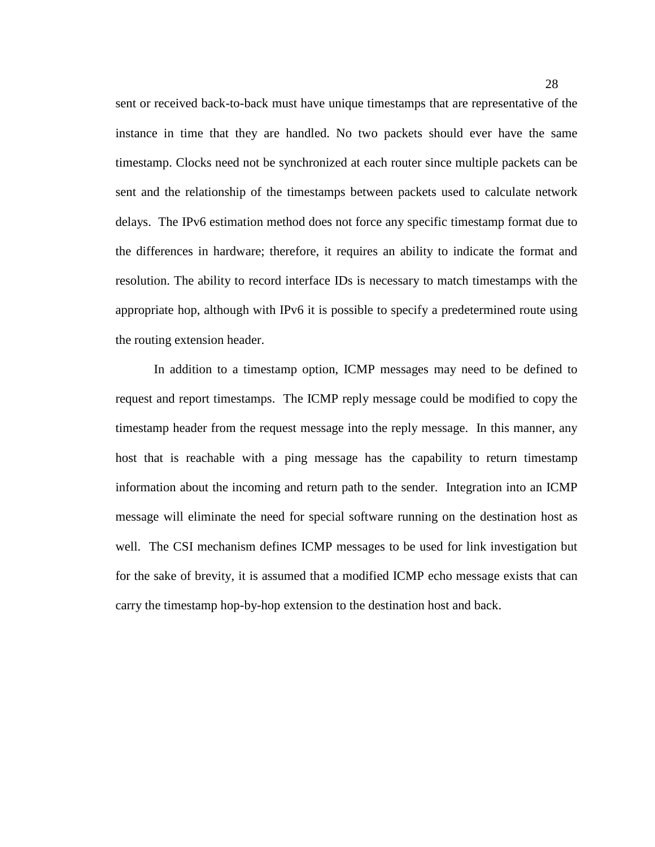sent or received back-to-back must have unique timestamps that are representative of the instance in time that they are handled. No two packets should ever have the same timestamp. Clocks need not be synchronized at each router since multiple packets can be sent and the relationship of the timestamps between packets used to calculate network delays. The IPv6 estimation method does not force any specific timestamp format due to the differences in hardware; therefore, it requires an ability to indicate the format and resolution. The ability to record interface IDs is necessary to match timestamps with the appropriate hop, although with IPv6 it is possible to specify a predetermined route using the routing extension header.

In addition to a timestamp option, ICMP messages may need to be defined to request and report timestamps. The ICMP reply message could be modified to copy the timestamp header from the request message into the reply message. In this manner, any host that is reachable with a ping message has the capability to return timestamp information about the incoming and return path to the sender. Integration into an ICMP message will eliminate the need for special software running on the destination host as well. The CSI mechanism defines ICMP messages to be used for link investigation but for the sake of brevity, it is assumed that a modified ICMP echo message exists that can carry the timestamp hop-by-hop extension to the destination host and back.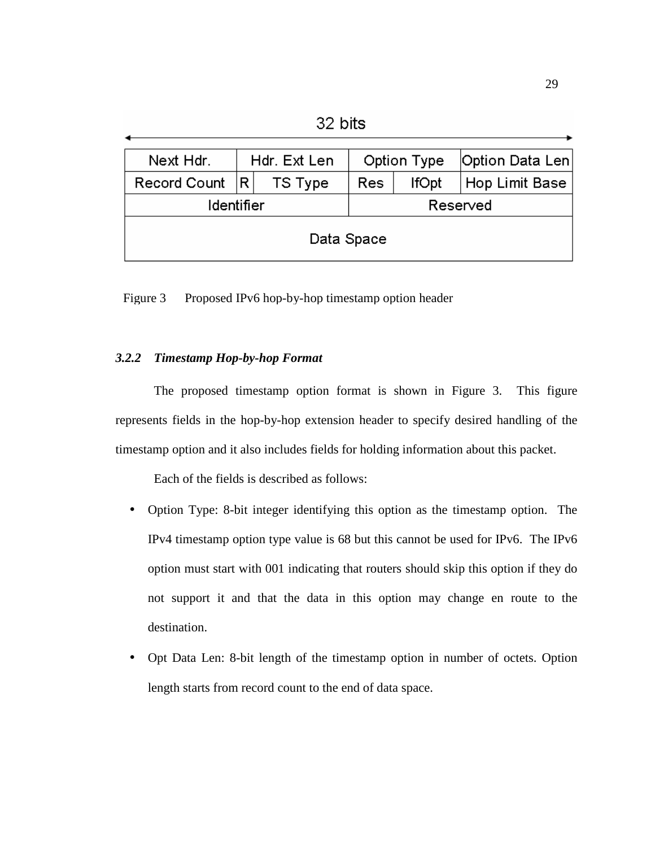32 bits

| Next Hdr.        | Hdr. Ext Len |         | Option Type |              | Option Data Len |
|------------------|--------------|---------|-------------|--------------|-----------------|
| Record Count   R |              | TS Type | Res         | <b>IfOpt</b> | Hop Limit Base  |
| Identifier       |              |         | Reserved    |              |                 |
| Data Space       |              |         |             |              |                 |

Figure 3 Proposed IPv6 hop-by-hop timestamp option header

## *3.2.2 Timestamp Hop-by-hop Format*

The proposed timestamp option format is shown in Figure 3. This figure represents fields in the hop-by-hop extension header to specify desired handling of the timestamp option and it also includes fields for holding information about this packet.

Each of the fields is described as follows:

- Option Type: 8-bit integer identifying this option as the timestamp option. The IPv4 timestamp option type value is 68 but this cannot be used for IPv6. The IPv6 option must start with 001 indicating that routers should skip this option if they do not support it and that the data in this option may change en route to the destination.
- Opt Data Len: 8-bit length of the timestamp option in number of octets. Option length starts from record count to the end of data space.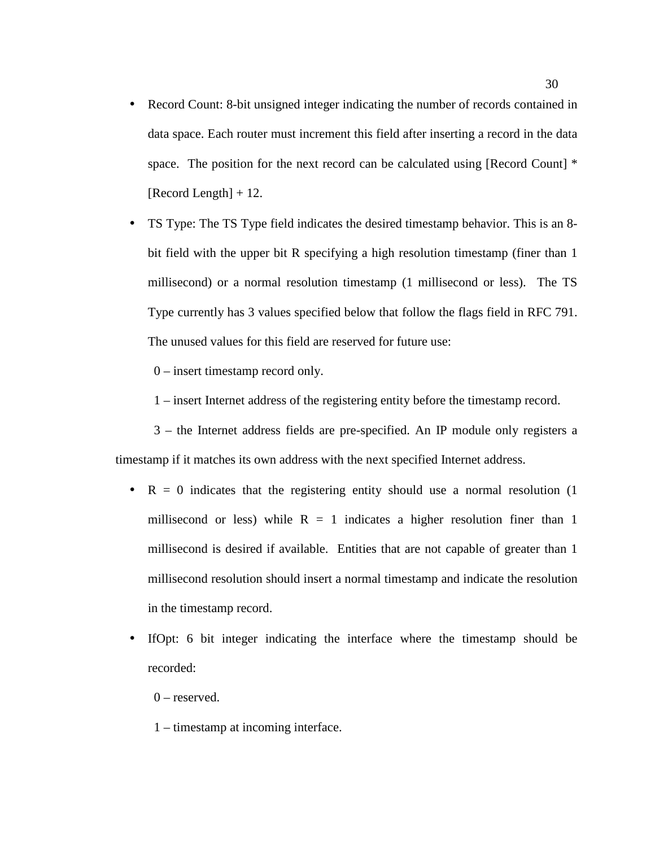• Record Count: 8-bit unsigned integer indicating the number of records contained in data space. Each router must increment this field after inserting a record in the data space. The position for the next record can be calculated using [Record Count]  $*$ [Record Length] + 12.

• TS Type: The TS Type field indicates the desired timestamp behavior. This is an 8 bit field with the upper bit R specifying a high resolution timestamp (finer than 1 millisecond) or a normal resolution timestamp (1 millisecond or less). The TS Type currently has 3 values specified below that follow the flags field in RFC 791. The unused values for this field are reserved for future use:

0 – insert timestamp record only.

1 – insert Internet address of the registering entity before the timestamp record.

3 – the Internet address fields are pre-specified. An IP module only registers a timestamp if it matches its own address with the next specified Internet address.

- $R = 0$  indicates that the registering entity should use a normal resolution (1) millisecond or less) while  $R = 1$  indicates a higher resolution finer than 1 millisecond is desired if available. Entities that are not capable of greater than 1 millisecond resolution should insert a normal timestamp and indicate the resolution in the timestamp record.
- IfOpt: 6 bit integer indicating the interface where the timestamp should be recorded:
	- $0$  reserved.
	- 1 timestamp at incoming interface.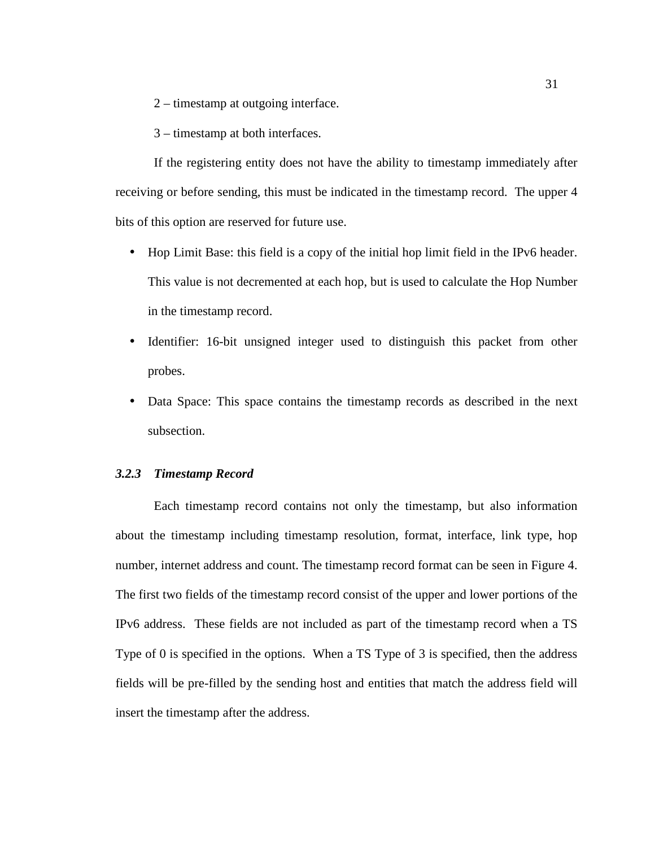- 2 timestamp at outgoing interface.
- 3 timestamp at both interfaces.

If the registering entity does not have the ability to timestamp immediately after receiving or before sending, this must be indicated in the timestamp record. The upper 4 bits of this option are reserved for future use.

- Hop Limit Base: this field is a copy of the initial hop limit field in the IPv6 header. This value is not decremented at each hop, but is used to calculate the Hop Number in the timestamp record.
- Identifier: 16-bit unsigned integer used to distinguish this packet from other probes.
- Data Space: This space contains the timestamp records as described in the next subsection.

## *3.2.3 Timestamp Record*

Each timestamp record contains not only the timestamp, but also information about the timestamp including timestamp resolution, format, interface, link type, hop number, internet address and count. The timestamp record format can be seen in Figure 4. The first two fields of the timestamp record consist of the upper and lower portions of the IPv6 address. These fields are not included as part of the timestamp record when a TS Type of 0 is specified in the options. When a TS Type of 3 is specified, then the address fields will be pre-filled by the sending host and entities that match the address field will insert the timestamp after the address.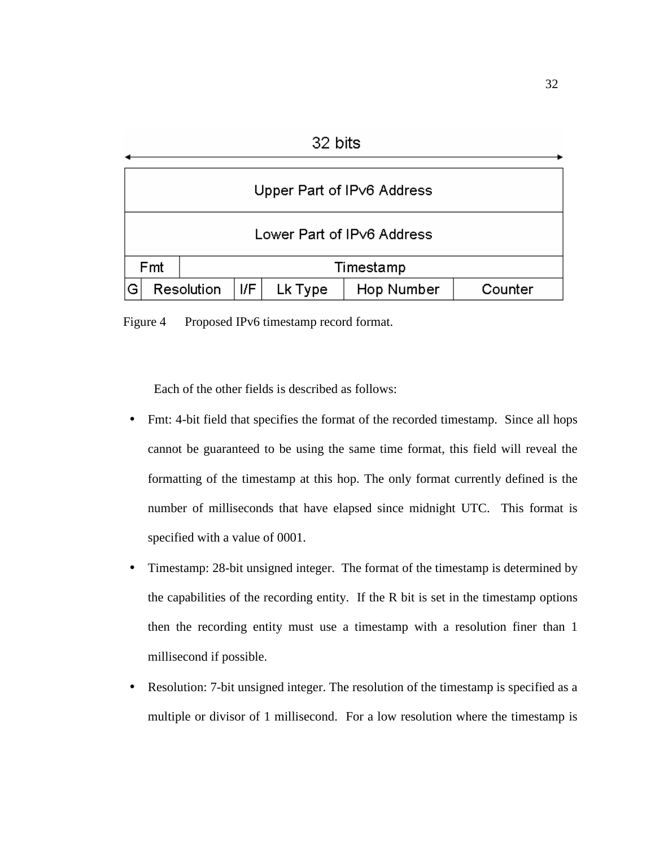|                                                            | 32 DITS                    |  |  |  |  |  |
|------------------------------------------------------------|----------------------------|--|--|--|--|--|
|                                                            | Upper Part of IPv6 Address |  |  |  |  |  |
|                                                            | Lower Part of IPv6 Address |  |  |  |  |  |
|                                                            | Fmt<br>Timestamp           |  |  |  |  |  |
| G<br>I/F<br>Resolution<br>Lk Type<br>Hop Number<br>Counter |                            |  |  |  |  |  |

 $22.1.2$ 

Figure 4 Proposed IPv6 timestamp record format.

Each of the other fields is described as follows:

- Fmt: 4-bit field that specifies the format of the recorded timestamp. Since all hops cannot be guaranteed to be using the same time format, this field will reveal the formatting of the timestamp at this hop. The only format currently defined is the number of milliseconds that have elapsed since midnight UTC. This format is specified with a value of 0001.
- Timestamp: 28-bit unsigned integer. The format of the timestamp is determined by the capabilities of the recording entity. If the R bit is set in the timestamp options then the recording entity must use a timestamp with a resolution finer than 1 millisecond if possible.
- Resolution: 7-bit unsigned integer. The resolution of the timestamp is specified as a multiple or divisor of 1 millisecond. For a low resolution where the timestamp is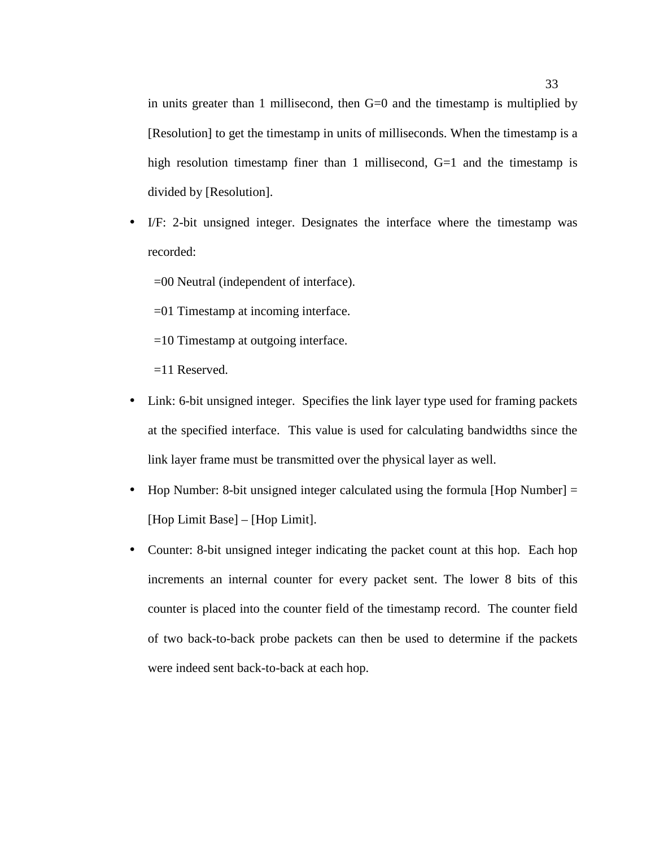in units greater than 1 millisecond, then G=0 and the timestamp is multiplied by [Resolution] to get the timestamp in units of milliseconds. When the timestamp is a high resolution timestamp finer than 1 millisecond, G=1 and the timestamp is divided by [Resolution].

• I/F: 2-bit unsigned integer. Designates the interface where the timestamp was recorded:

=00 Neutral (independent of interface).

- =01 Timestamp at incoming interface.
- =10 Timestamp at outgoing interface.
- =11 Reserved.
- Link: 6-bit unsigned integer. Specifies the link layer type used for framing packets at the specified interface. This value is used for calculating bandwidths since the link layer frame must be transmitted over the physical layer as well.
- Hop Number: 8-bit unsigned integer calculated using the formula [Hop Number] = [Hop Limit Base] – [Hop Limit].
- Counter: 8-bit unsigned integer indicating the packet count at this hop. Each hop increments an internal counter for every packet sent. The lower 8 bits of this counter is placed into the counter field of the timestamp record. The counter field of two back-to-back probe packets can then be used to determine if the packets were indeed sent back-to-back at each hop.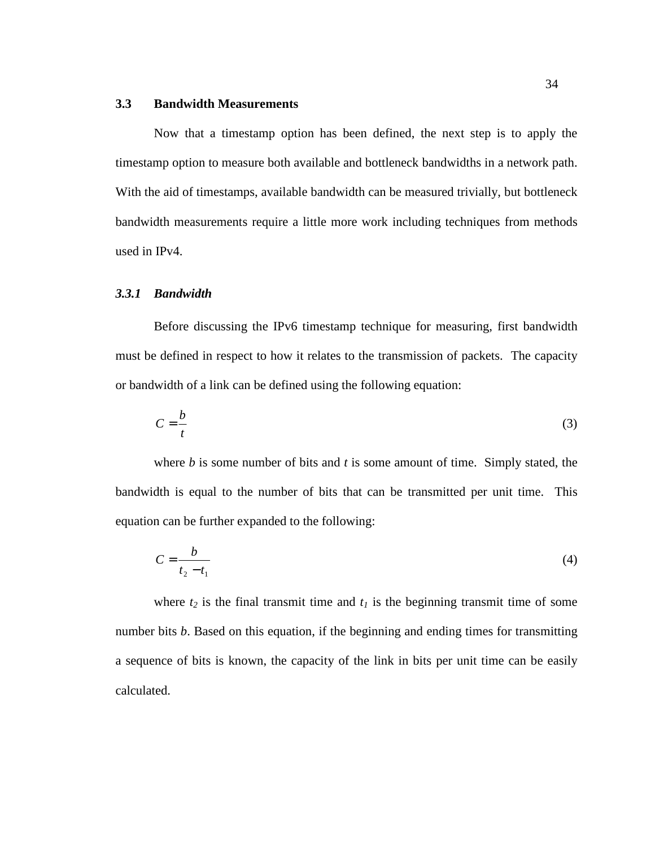#### **3.3 Bandwidth Measurements**

Now that a timestamp option has been defined, the next step is to apply the timestamp option to measure both available and bottleneck bandwidths in a network path. With the aid of timestamps, available bandwidth can be measured trivially, but bottleneck bandwidth measurements require a little more work including techniques from methods used in IPv4.

### *3.3.1 Bandwidth*

Before discussing the IPv6 timestamp technique for measuring, first bandwidth must be defined in respect to how it relates to the transmission of packets. The capacity or bandwidth of a link can be defined using the following equation:

$$
C = \frac{b}{t} \tag{3}
$$

where *b* is some number of bits and *t* is some amount of time. Simply stated, the bandwidth is equal to the number of bits that can be transmitted per unit time. This equation can be further expanded to the following:

$$
C = \frac{b}{t_2 - t_1} \tag{4}
$$

where  $t_2$  is the final transmit time and  $t_1$  is the beginning transmit time of some number bits *b*. Based on this equation, if the beginning and ending times for transmitting a sequence of bits is known, the capacity of the link in bits per unit time can be easily calculated.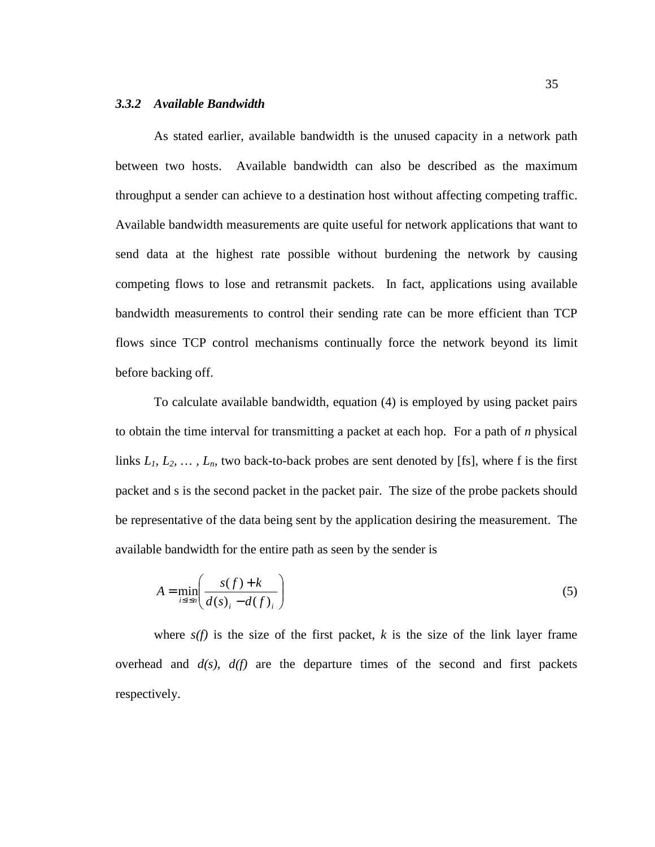## *3.3.2 Available Bandwidth*

As stated earlier, available bandwidth is the unused capacity in a network path between two hosts. Available bandwidth can also be described as the maximum throughput a sender can achieve to a destination host without affecting competing traffic. Available bandwidth measurements are quite useful for network applications that want to send data at the highest rate possible without burdening the network by causing competing flows to lose and retransmit packets. In fact, applications using available bandwidth measurements to control their sending rate can be more efficient than TCP flows since TCP control mechanisms continually force the network beyond its limit before backing off.

To calculate available bandwidth, equation (4) is employed by using packet pairs to obtain the time interval for transmitting a packet at each hop. For a path of *n* physical links  $L_1, L_2, \ldots, L_n$ , two back-to-back probes are sent denoted by [fs], where f is the first packet and s is the second packet in the packet pair. The size of the probe packets should be representative of the data being sent by the application desiring the measurement. The available bandwidth for the entire path as seen by the sender is

$$
A = \min_{i \le i \le n} \left( \frac{s(f) + k}{d(s)_i - d(f)_i} \right) \tag{5}
$$

where  $s(f)$  is the size of the first packet,  $k$  is the size of the link layer frame overhead and  $d(s)$ ,  $d(f)$  are the departure times of the second and first packets respectively.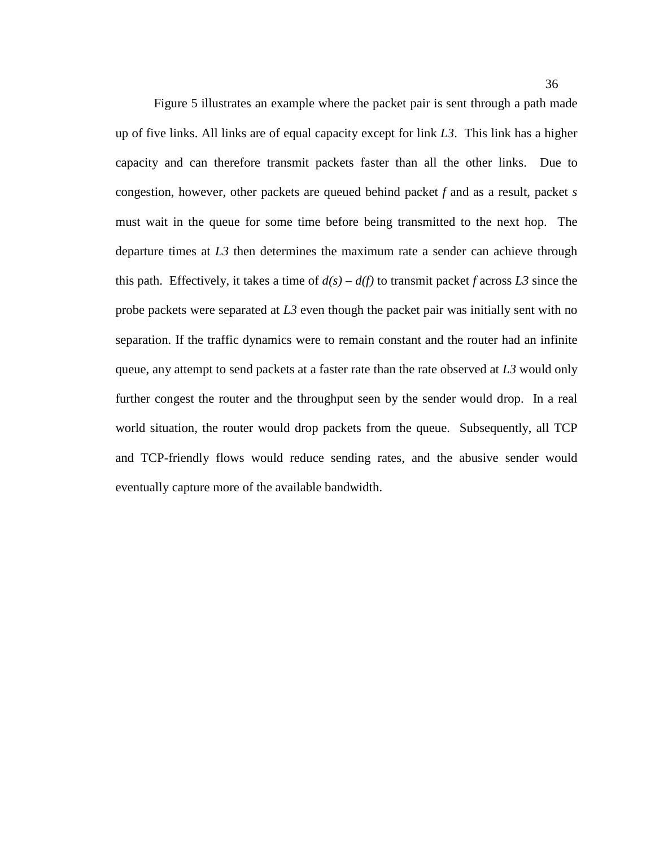Figure 5 illustrates an example where the packet pair is sent through a path made up of five links. All links are of equal capacity except for link *L3*. This link has a higher capacity and can therefore transmit packets faster than all the other links. Due to congestion, however, other packets are queued behind packet *f* and as a result, packet *s* must wait in the queue for some time before being transmitted to the next hop. The departure times at *L3* then determines the maximum rate a sender can achieve through this path. Effectively, it takes a time of  $d(s) - d(f)$  to transmit packet *f* across *L3* since the probe packets were separated at *L3* even though the packet pair was initially sent with no separation. If the traffic dynamics were to remain constant and the router had an infinite queue, any attempt to send packets at a faster rate than the rate observed at *L3* would only further congest the router and the throughput seen by the sender would drop. In a real world situation, the router would drop packets from the queue. Subsequently, all TCP and TCP-friendly flows would reduce sending rates, and the abusive sender would eventually capture more of the available bandwidth.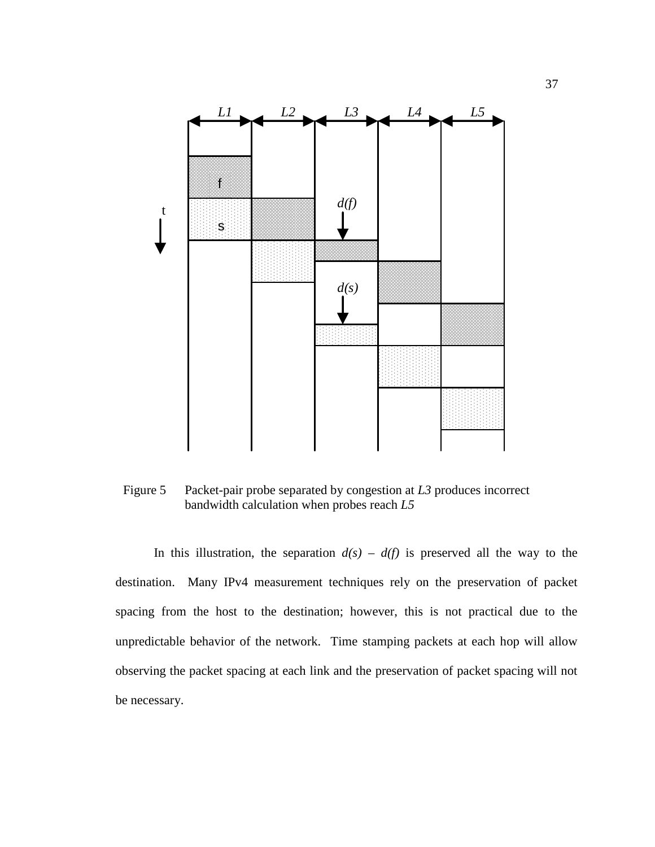

Figure 5 Packet-pair probe separated by congestion at *L3* produces incorrect bandwidth calculation when probes reach *L5*

In this illustration, the separation  $d(s) - d(f)$  is preserved all the way to the destination. Many IPv4 measurement techniques rely on the preservation of packet spacing from the host to the destination; however, this is not practical due to the unpredictable behavior of the network. Time stamping packets at each hop will allow observing the packet spacing at each link and the preservation of packet spacing will not be necessary.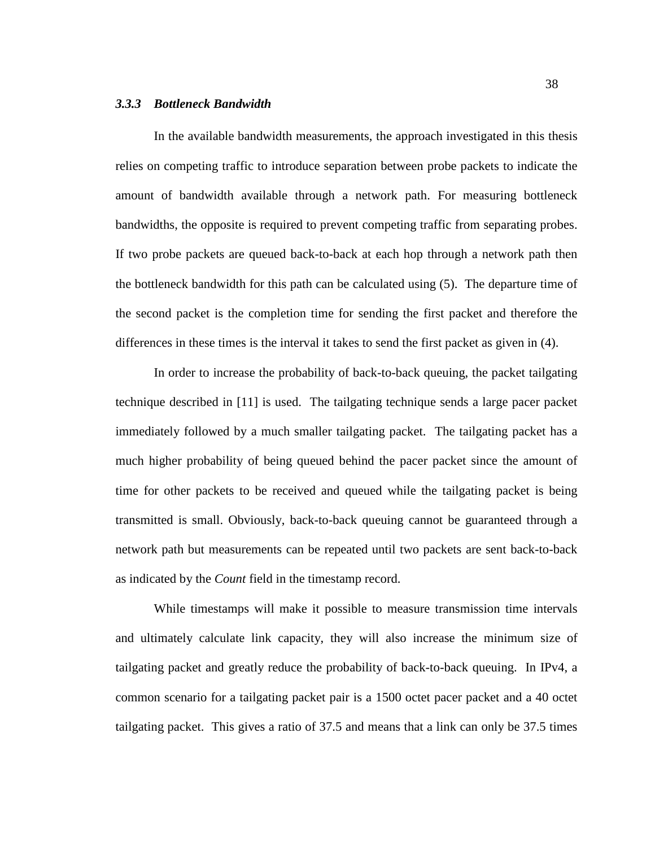#### *3.3.3 Bottleneck Bandwidth*

In the available bandwidth measurements, the approach investigated in this thesis relies on competing traffic to introduce separation between probe packets to indicate the amount of bandwidth available through a network path. For measuring bottleneck bandwidths, the opposite is required to prevent competing traffic from separating probes. If two probe packets are queued back-to-back at each hop through a network path then the bottleneck bandwidth for this path can be calculated using (5). The departure time of the second packet is the completion time for sending the first packet and therefore the differences in these times is the interval it takes to send the first packet as given in (4).

In order to increase the probability of back-to-back queuing, the packet tailgating technique described in [11] is used. The tailgating technique sends a large pacer packet immediately followed by a much smaller tailgating packet. The tailgating packet has a much higher probability of being queued behind the pacer packet since the amount of time for other packets to be received and queued while the tailgating packet is being transmitted is small. Obviously, back-to-back queuing cannot be guaranteed through a network path but measurements can be repeated until two packets are sent back-to-back as indicated by the *Count* field in the timestamp record.

While timestamps will make it possible to measure transmission time intervals and ultimately calculate link capacity, they will also increase the minimum size of tailgating packet and greatly reduce the probability of back-to-back queuing. In IPv4, a common scenario for a tailgating packet pair is a 1500 octet pacer packet and a 40 octet tailgating packet. This gives a ratio of 37.5 and means that a link can only be 37.5 times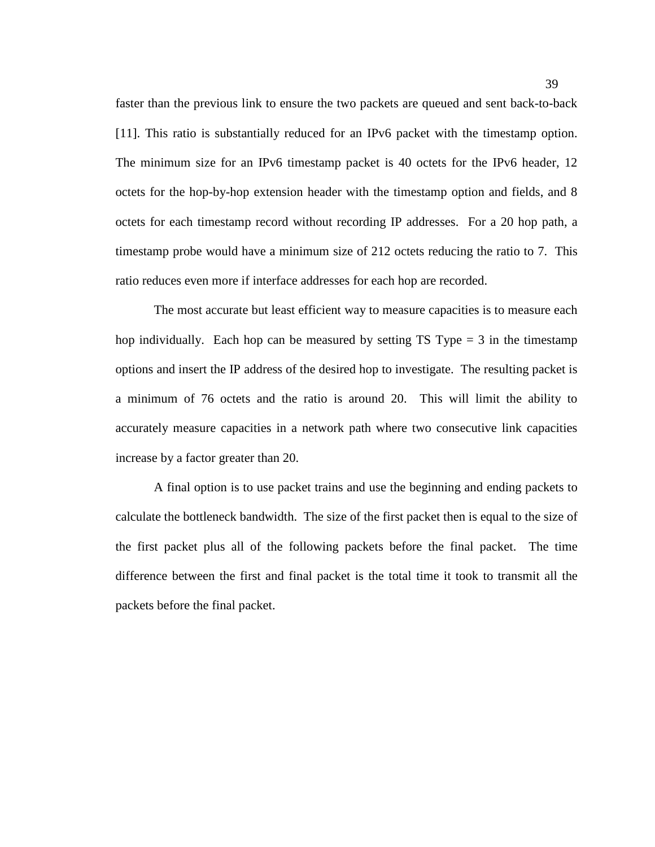faster than the previous link to ensure the two packets are queued and sent back-to-back [11]. This ratio is substantially reduced for an IPv6 packet with the timestamp option. The minimum size for an IPv6 timestamp packet is 40 octets for the IPv6 header, 12 octets for the hop-by-hop extension header with the timestamp option and fields, and 8 octets for each timestamp record without recording IP addresses. For a 20 hop path, a timestamp probe would have a minimum size of 212 octets reducing the ratio to 7. This ratio reduces even more if interface addresses for each hop are recorded.

The most accurate but least efficient way to measure capacities is to measure each hop individually. Each hop can be measured by setting TS Type  $=$  3 in the timestamp options and insert the IP address of the desired hop to investigate. The resulting packet is a minimum of 76 octets and the ratio is around 20. This will limit the ability to accurately measure capacities in a network path where two consecutive link capacities increase by a factor greater than 20.

A final option is to use packet trains and use the beginning and ending packets to calculate the bottleneck bandwidth. The size of the first packet then is equal to the size of the first packet plus all of the following packets before the final packet. The time difference between the first and final packet is the total time it took to transmit all the packets before the final packet.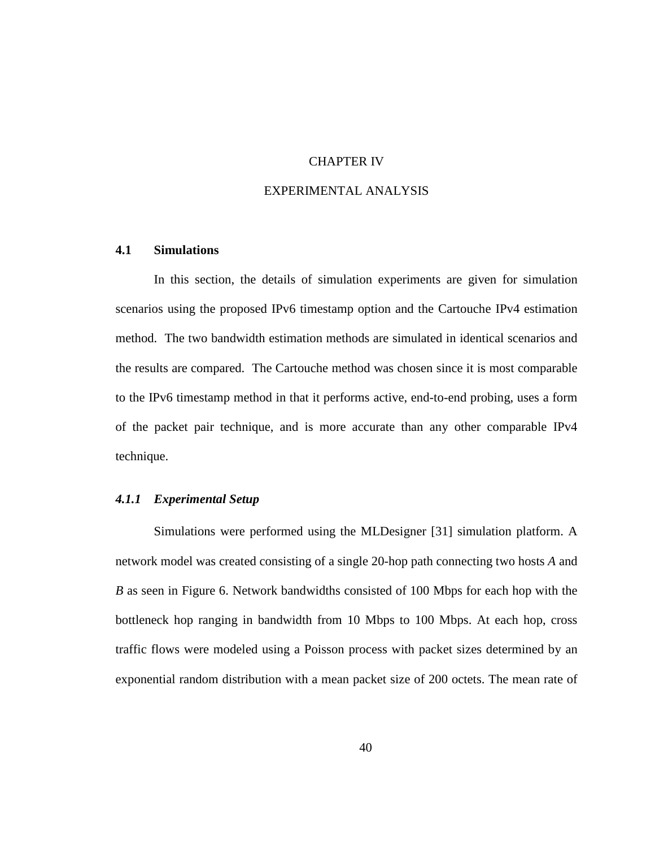# CHAPTER IV

# EXPERIMENTAL ANALYSIS

# **4.1 Simulations**

In this section, the details of simulation experiments are given for simulation scenarios using the proposed IPv6 timestamp option and the Cartouche IPv4 estimation method. The two bandwidth estimation methods are simulated in identical scenarios and the results are compared. The Cartouche method was chosen since it is most comparable to the IPv6 timestamp method in that it performs active, end-to-end probing, uses a form of the packet pair technique, and is more accurate than any other comparable IPv4 technique.

## *4.1.1 Experimental Setup*

Simulations were performed using the MLDesigner [31] simulation platform. A network model was created consisting of a single 20-hop path connecting two hosts *A* and *B* as seen in Figure 6. Network bandwidths consisted of 100 Mbps for each hop with the bottleneck hop ranging in bandwidth from 10 Mbps to 100 Mbps. At each hop, cross traffic flows were modeled using a Poisson process with packet sizes determined by an exponential random distribution with a mean packet size of 200 octets. The mean rate of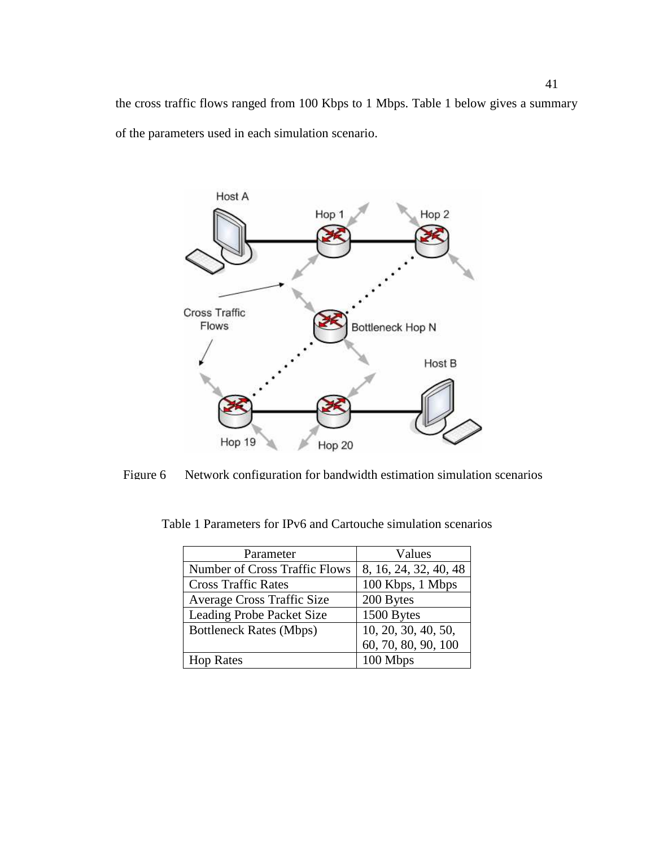the cross traffic flows ranged from 100 Kbps to 1 Mbps. Table 1 below gives a summary of the parameters used in each simulation scenario.



Figure 6 Network configuration for bandwidth estimation simulation scenarios

| Parameter                            | Values                |
|--------------------------------------|-----------------------|
| <b>Number of Cross Traffic Flows</b> | 8, 16, 24, 32, 40, 48 |
| <b>Cross Traffic Rates</b>           | 100 Kbps, 1 Mbps      |
| <b>Average Cross Traffic Size</b>    | 200 Bytes             |
| <b>Leading Probe Packet Size</b>     | 1500 Bytes            |
| <b>Bottleneck Rates (Mbps)</b>       | 10, 20, 30, 40, 50,   |
|                                      | 60, 70, 80, 90, 100   |
| <b>Hop Rates</b>                     | 100 Mbps              |

Table 1 Parameters for IPv6 and Cartouche simulation scenarios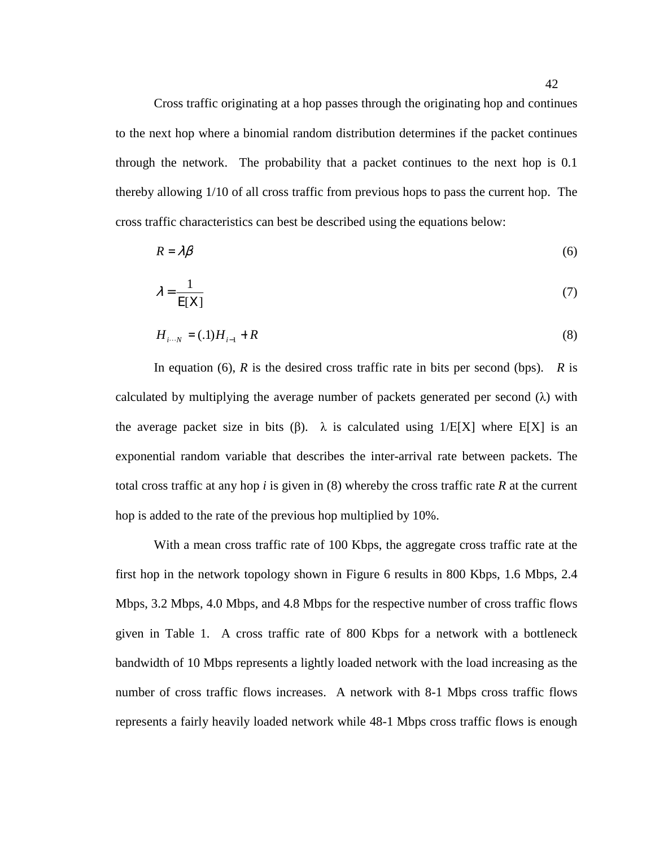Cross traffic originating at a hop passes through the originating hop and continues to the next hop where a binomial random distribution determines if the packet continues through the network. The probability that a packet continues to the next hop is 0.1 thereby allowing 1/10 of all cross traffic from previous hops to pass the current hop. The cross traffic characteristics can best be described using the equations below:

$$
R = \lambda \beta \tag{6}
$$

$$
\lambda = \frac{1}{E[X]} \tag{7}
$$

$$
H_{i \cdots N} = (.1)H_{i-1} + R
$$
\n(8)

In equation (6),  $\vec{R}$  is the desired cross traffic rate in bits per second (bps).  $\vec{R}$  is calculated by multiplying the average number of packets generated per second  $(\lambda)$  with the average packet size in bits (β).  $\lambda$  is calculated using 1/E[X] where E[X] is an exponential random variable that describes the inter-arrival rate between packets. The total cross traffic at any hop *i* is given in (8) whereby the cross traffic rate *R* at the current hop is added to the rate of the previous hop multiplied by 10%.

With a mean cross traffic rate of 100 Kbps, the aggregate cross traffic rate at the first hop in the network topology shown in Figure 6 results in 800 Kbps, 1.6 Mbps, 2.4 Mbps, 3.2 Mbps, 4.0 Mbps, and 4.8 Mbps for the respective number of cross traffic flows given in Table 1. A cross traffic rate of 800 Kbps for a network with a bottleneck bandwidth of 10 Mbps represents a lightly loaded network with the load increasing as the number of cross traffic flows increases. A network with 8-1 Mbps cross traffic flows represents a fairly heavily loaded network while 48-1 Mbps cross traffic flows is enough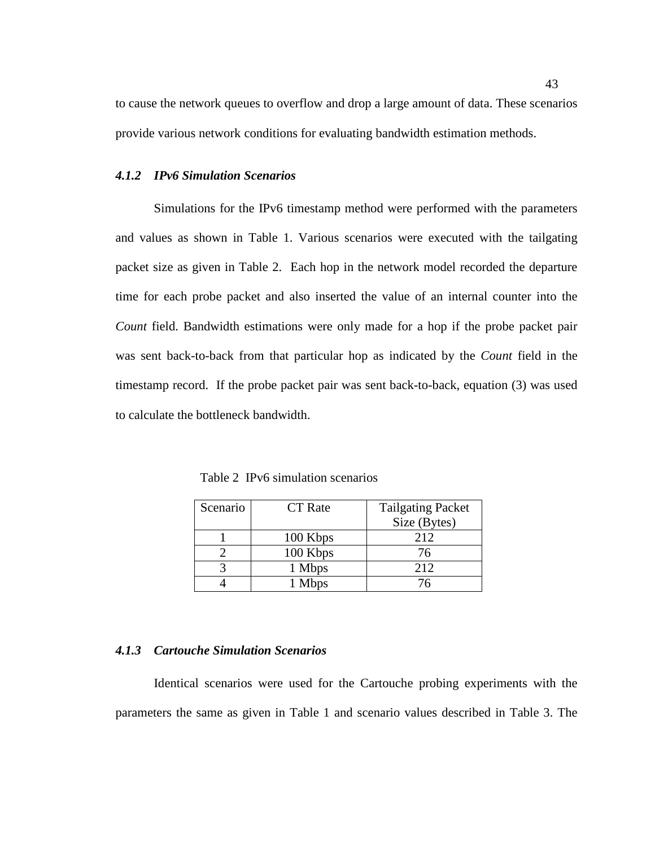to cause the network queues to overflow and drop a large amount of data. These scenarios provide various network conditions for evaluating bandwidth estimation methods.

#### *4.1.2 IPv6 Simulation Scenarios*

Simulations for the IPv6 timestamp method were performed with the parameters and values as shown in Table 1. Various scenarios were executed with the tailgating packet size as given in Table 2. Each hop in the network model recorded the departure time for each probe packet and also inserted the value of an internal counter into the *Count* field. Bandwidth estimations were only made for a hop if the probe packet pair was sent back-to-back from that particular hop as indicated by the *Count* field in the timestamp record. If the probe packet pair was sent back-to-back, equation (3) was used to calculate the bottleneck bandwidth.

Table 2 IPv6 simulation scenarios

| Scenario | <b>CT</b> Rate | <b>Tailgating Packet</b> |
|----------|----------------|--------------------------|
|          |                | Size (Bytes)             |
|          | 100 Kbps       | 212                      |
|          | 100 Kbps       | 76                       |
|          | 1 Mbps         | 212                      |
|          | 1 Mbps         | 76                       |

#### *4.1.3 Cartouche Simulation Scenarios*

Identical scenarios were used for the Cartouche probing experiments with the parameters the same as given in Table 1 and scenario values described in Table 3. The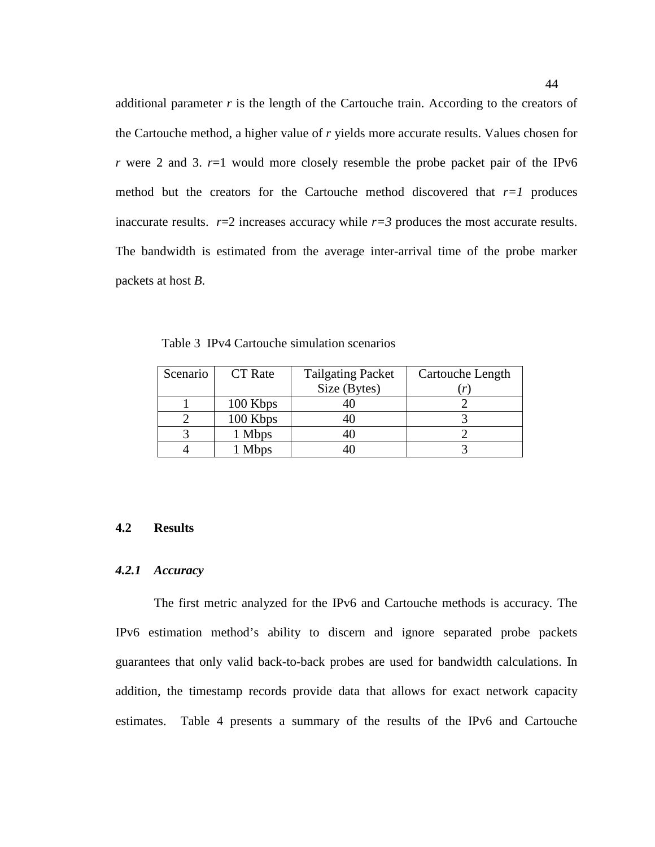additional parameter  $r$  is the length of the Cartouche train. According to the creators of the Cartouche method, a higher value of *r* yields more accurate results. Values chosen for *r* were 2 and 3.  $r=1$  would more closely resemble the probe packet pair of the IPv6 method but the creators for the Cartouche method discovered that  $r=1$  produces inaccurate results.  $r=2$  increases accuracy while  $r=3$  produces the most accurate results. The bandwidth is estimated from the average inter-arrival time of the probe marker packets at host *B*.

Table 3 IPv4 Cartouche simulation scenarios

| Scenario | <b>CT</b> Rate | <b>Tailgating Packet</b> | Cartouche Length |
|----------|----------------|--------------------------|------------------|
|          |                | Size (Bytes)             |                  |
|          | 100 Kbps       |                          |                  |
|          | 100 Kbps       |                          |                  |
|          | 1 Mbps         |                          |                  |
|          | 1 Mbps         |                          |                  |

#### **4.2 Results**

## *4.2.1 Accuracy*

The first metric analyzed for the IPv6 and Cartouche methods is accuracy. The IPv6 estimation method's ability to discern and ignore separated probe packets guarantees that only valid back-to-back probes are used for bandwidth calculations. In addition, the timestamp records provide data that allows for exact network capacity estimates. Table 4 presents a summary of the results of the IPv6 and Cartouche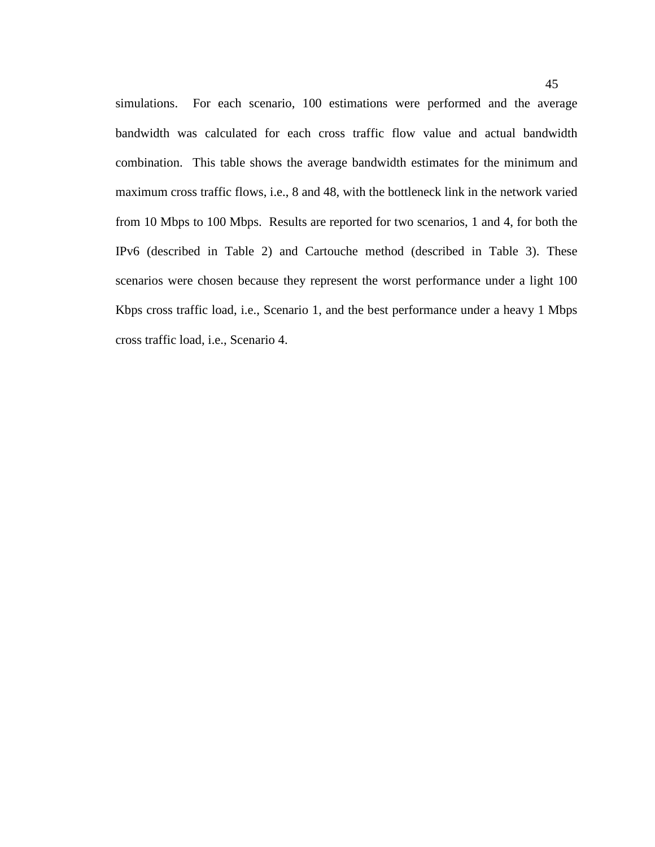simulations. For each scenario, 100 estimations were performed and the average bandwidth was calculated for each cross traffic flow value and actual bandwidth combination. This table shows the average bandwidth estimates for the minimum and maximum cross traffic flows, i.e., 8 and 48, with the bottleneck link in the network varied from 10 Mbps to 100 Mbps. Results are reported for two scenarios, 1 and 4, for both the IPv6 (described in Table 2) and Cartouche method (described in Table 3). These scenarios were chosen because they represent the worst performance under a light 100 Kbps cross traffic load, i.e., Scenario 1, and the best performance under a heavy 1 Mbps cross traffic load, i.e., Scenario 4.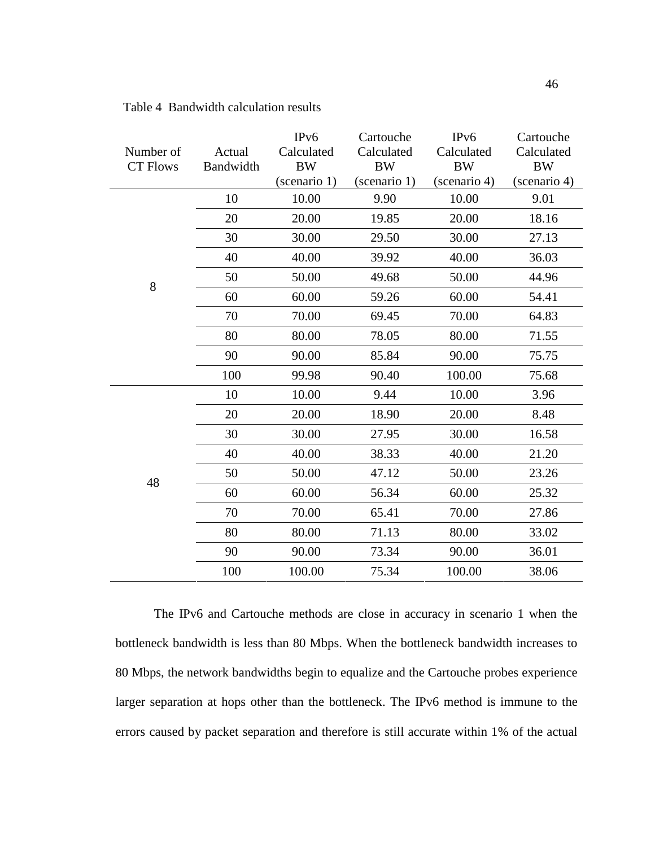| Number of<br><b>CT Flows</b> | Actual<br>Bandwidth | IP <sub>v</sub> 6<br>Calculated<br><b>BW</b><br>(scenario 1) | Cartouche<br>Calculated<br><b>BW</b><br>(scenario 1) | IP <sub>v</sub> 6<br>Calculated<br><b>BW</b><br>(scenario 4) | Cartouche<br>Calculated<br><b>BW</b><br>(scenario 4) |
|------------------------------|---------------------|--------------------------------------------------------------|------------------------------------------------------|--------------------------------------------------------------|------------------------------------------------------|
|                              | 10                  | 10.00                                                        | 9.90                                                 | 10.00                                                        | 9.01                                                 |
|                              | 20                  | 20.00                                                        | 19.85                                                | 20.00                                                        | 18.16                                                |
|                              | 30                  | 30.00                                                        | 29.50                                                | 30.00                                                        | 27.13                                                |
|                              | 40                  | 40.00                                                        | 39.92                                                | 40.00                                                        | 36.03                                                |
| 8                            | 50                  | 50.00                                                        | 49.68                                                | 50.00                                                        | 44.96                                                |
|                              | 60                  | 60.00                                                        | 59.26                                                | 60.00                                                        | 54.41                                                |
|                              | 70                  | 70.00                                                        | 69.45                                                | 70.00                                                        | 64.83                                                |
|                              | 80                  | 80.00                                                        | 78.05                                                | 80.00                                                        | 71.55                                                |
|                              | 90                  | 90.00                                                        | 85.84                                                | 90.00                                                        | 75.75                                                |
|                              | 100                 | 99.98                                                        | 90.40                                                | 100.00                                                       | 75.68                                                |
|                              | 10                  | 10.00                                                        | 9.44                                                 | 10.00                                                        | 3.96                                                 |
|                              | 20                  | 20.00                                                        | 18.90                                                | 20.00                                                        | 8.48                                                 |
|                              | 30                  | 30.00                                                        | 27.95                                                | 30.00                                                        | 16.58                                                |
|                              | 40                  | 40.00                                                        | 38.33                                                | 40.00                                                        | 21.20                                                |
| 48                           | 50                  | 50.00                                                        | 47.12                                                | 50.00                                                        | 23.26                                                |
|                              | 60                  | 60.00                                                        | 56.34                                                | 60.00                                                        | 25.32                                                |
|                              | 70                  | 70.00                                                        | 65.41                                                | 70.00                                                        | 27.86                                                |
|                              | 80                  | 80.00                                                        | 71.13                                                | 80.00                                                        | 33.02                                                |
|                              | 90                  | 90.00                                                        | 73.34                                                | 90.00                                                        | 36.01                                                |
|                              | 100                 | 100.00                                                       | 75.34                                                | 100.00                                                       | 38.06                                                |

# Table 4 Bandwidth calculation results

The IPv6 and Cartouche methods are close in accuracy in scenario 1 when the bottleneck bandwidth is less than 80 Mbps. When the bottleneck bandwidth increases to 80 Mbps, the network bandwidths begin to equalize and the Cartouche probes experience larger separation at hops other than the bottleneck. The IPv6 method is immune to the errors caused by packet separation and therefore is still accurate within 1% of the actual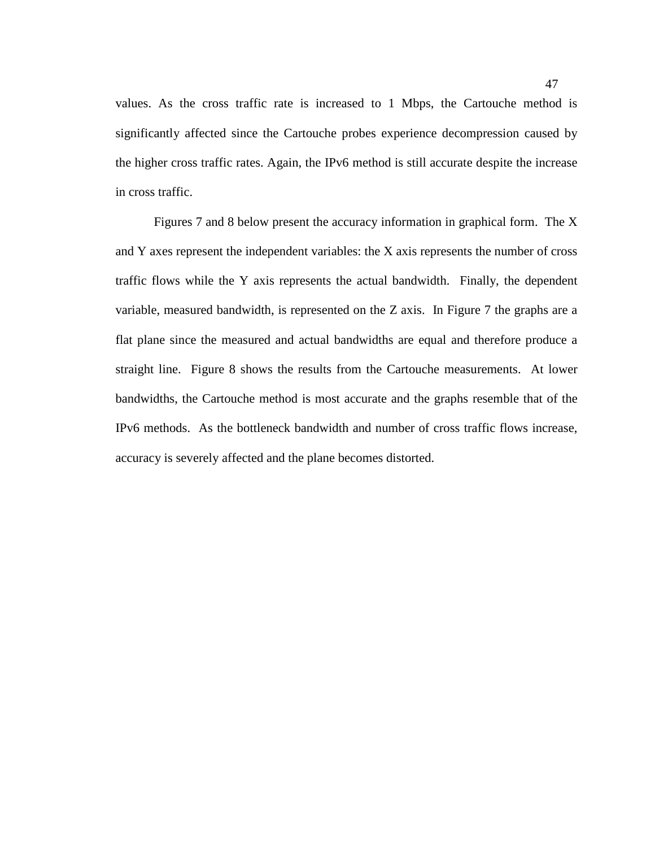values. As the cross traffic rate is increased to 1 Mbps, the Cartouche method is significantly affected since the Cartouche probes experience decompression caused by the higher cross traffic rates. Again, the IPv6 method is still accurate despite the increase in cross traffic.

Figures 7 and 8 below present the accuracy information in graphical form. The X and Y axes represent the independent variables: the X axis represents the number of cross traffic flows while the Y axis represents the actual bandwidth. Finally, the dependent variable, measured bandwidth, is represented on the Z axis. In Figure 7 the graphs are a flat plane since the measured and actual bandwidths are equal and therefore produce a straight line. Figure 8 shows the results from the Cartouche measurements. At lower bandwidths, the Cartouche method is most accurate and the graphs resemble that of the IPv6 methods. As the bottleneck bandwidth and number of cross traffic flows increase, accuracy is severely affected and the plane becomes distorted.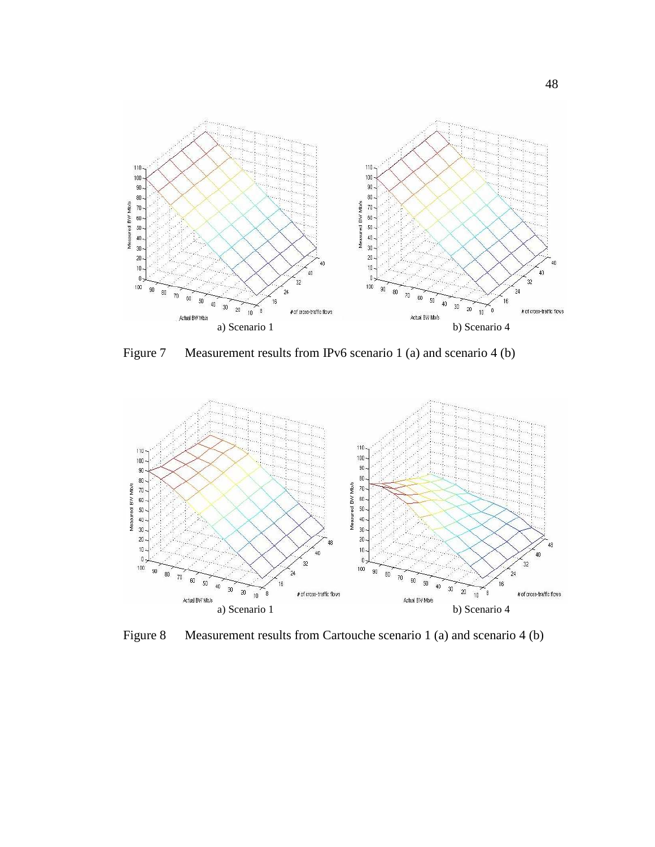

Figure 7 Measurement results from IPv6 scenario 1 (a) and scenario 4 (b)



Figure 8 Measurement results from Cartouche scenario 1 (a) and scenario 4 (b)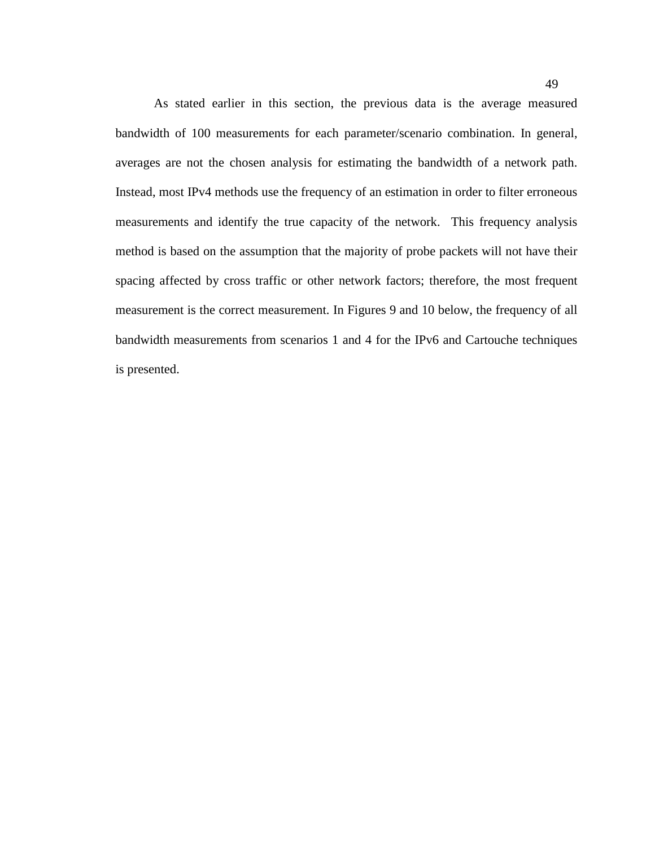As stated earlier in this section, the previous data is the average measured bandwidth of 100 measurements for each parameter/scenario combination. In general, averages are not the chosen analysis for estimating the bandwidth of a network path. Instead, most IPv4 methods use the frequency of an estimation in order to filter erroneous measurements and identify the true capacity of the network. This frequency analysis method is based on the assumption that the majority of probe packets will not have their spacing affected by cross traffic or other network factors; therefore, the most frequent measurement is the correct measurement. In Figures 9 and 10 below, the frequency of all bandwidth measurements from scenarios 1 and 4 for the IPv6 and Cartouche techniques is presented.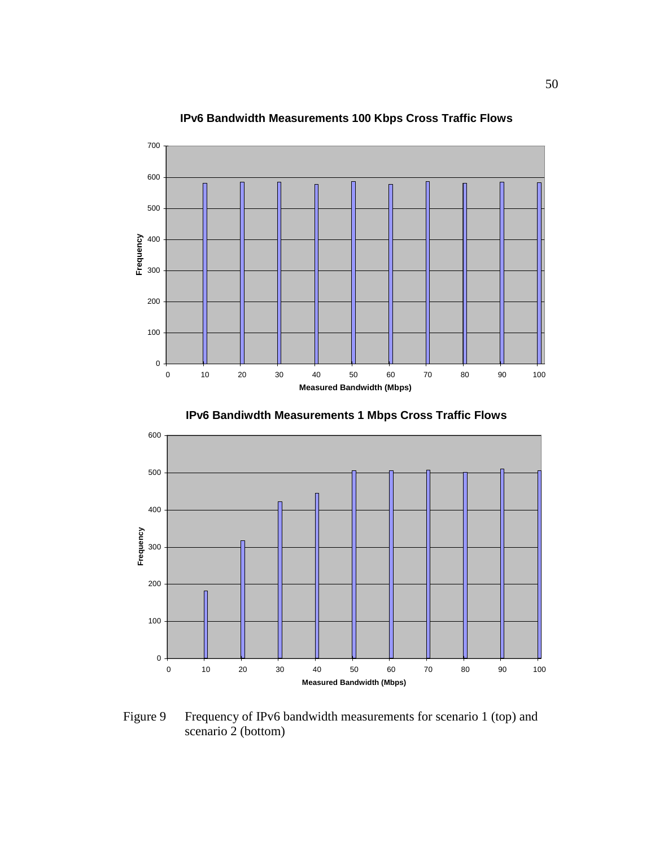

# **IPv6 Bandwidth Measurements 100 Kbps Cross Traffic Flows**





Figure 9 Frequency of IPv6 bandwidth measurements for scenario 1 (top) and scenario 2 (bottom)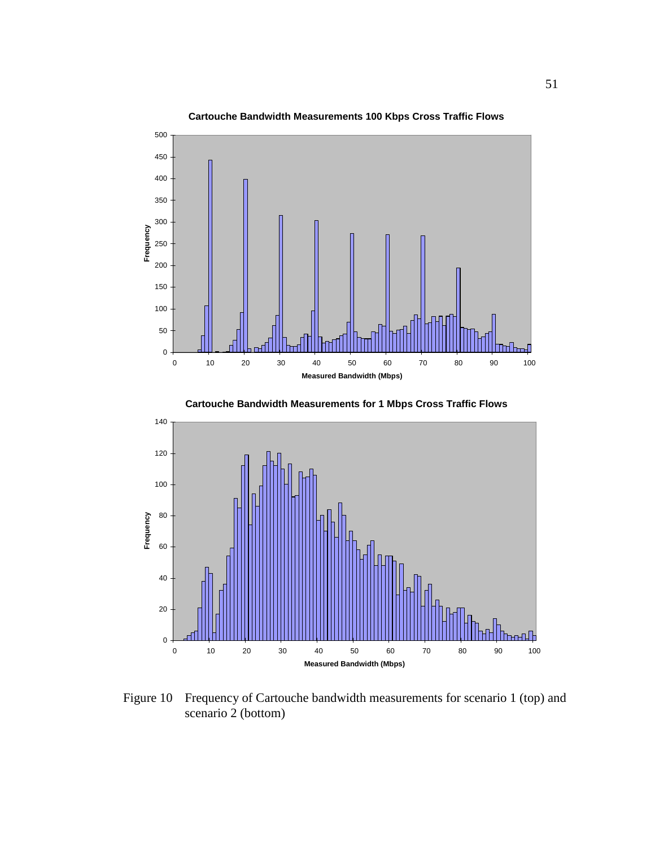

**Cartouche Bandwidth Measurements 100 Kbps Cross Traffic Flows**



**Cartouche Bandwidth Measurements for 1 Mbps Cross Traffic Flows**

Figure 10 Frequency of Cartouche bandwidth measurements for scenario 1 (top) and scenario 2 (bottom)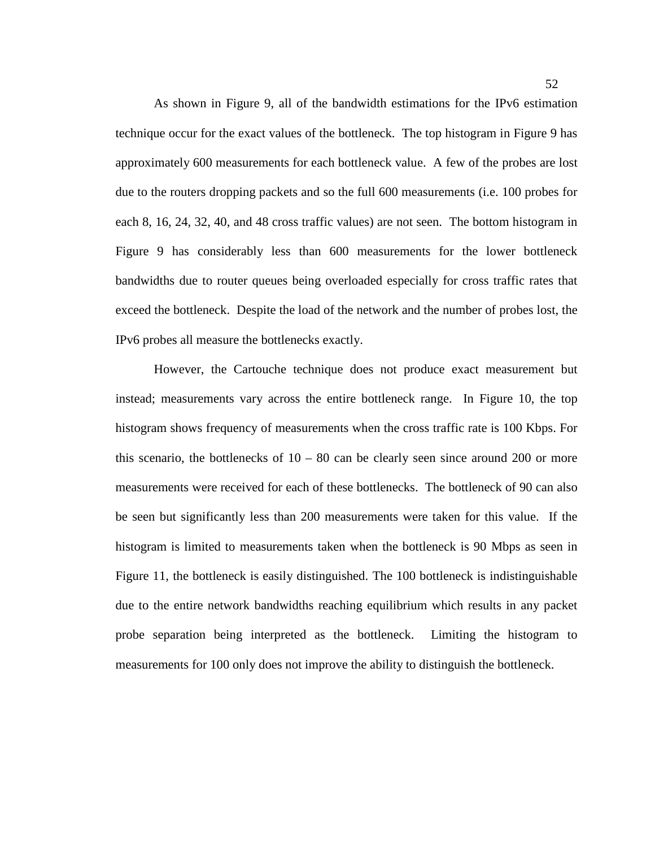As shown in Figure 9, all of the bandwidth estimations for the IPv6 estimation technique occur for the exact values of the bottleneck. The top histogram in Figure 9 has approximately 600 measurements for each bottleneck value. A few of the probes are lost due to the routers dropping packets and so the full 600 measurements (i.e. 100 probes for each 8, 16, 24, 32, 40, and 48 cross traffic values) are not seen. The bottom histogram in Figure 9 has considerably less than 600 measurements for the lower bottleneck bandwidths due to router queues being overloaded especially for cross traffic rates that exceed the bottleneck. Despite the load of the network and the number of probes lost, the IPv6 probes all measure the bottlenecks exactly.

However, the Cartouche technique does not produce exact measurement but instead; measurements vary across the entire bottleneck range. In Figure 10, the top histogram shows frequency of measurements when the cross traffic rate is 100 Kbps. For this scenario, the bottlenecks of  $10 - 80$  can be clearly seen since around 200 or more measurements were received for each of these bottlenecks. The bottleneck of 90 can also be seen but significantly less than 200 measurements were taken for this value. If the histogram is limited to measurements taken when the bottleneck is 90 Mbps as seen in Figure 11, the bottleneck is easily distinguished. The 100 bottleneck is indistinguishable due to the entire network bandwidths reaching equilibrium which results in any packet probe separation being interpreted as the bottleneck. Limiting the histogram to measurements for 100 only does not improve the ability to distinguish the bottleneck.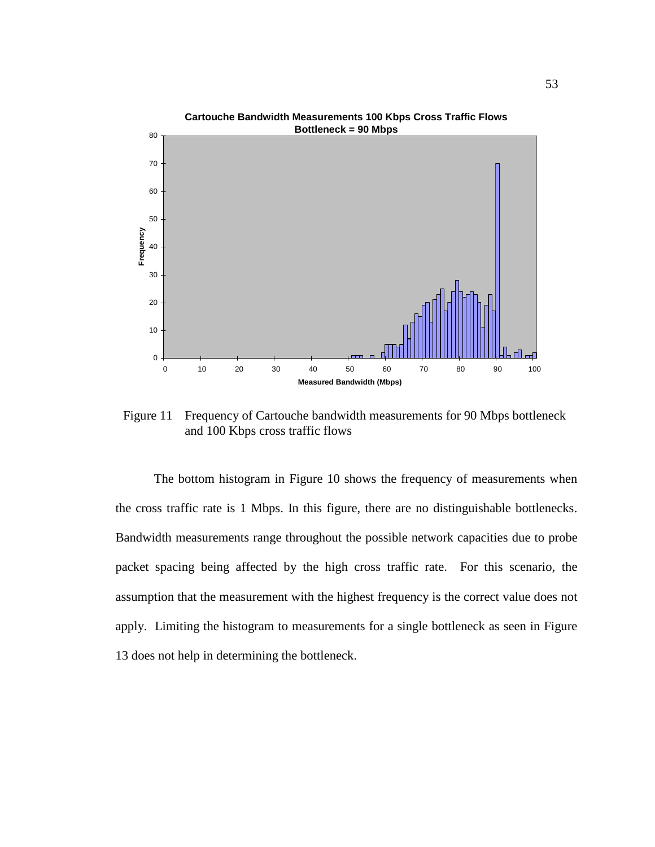

Figure 11 Frequency of Cartouche bandwidth measurements for 90 Mbps bottleneck and 100 Kbps cross traffic flows

The bottom histogram in Figure 10 shows the frequency of measurements when the cross traffic rate is 1 Mbps. In this figure, there are no distinguishable bottlenecks. Bandwidth measurements range throughout the possible network capacities due to probe packet spacing being affected by the high cross traffic rate. For this scenario, the assumption that the measurement with the highest frequency is the correct value does not apply. Limiting the histogram to measurements for a single bottleneck as seen in Figure 13 does not help in determining the bottleneck.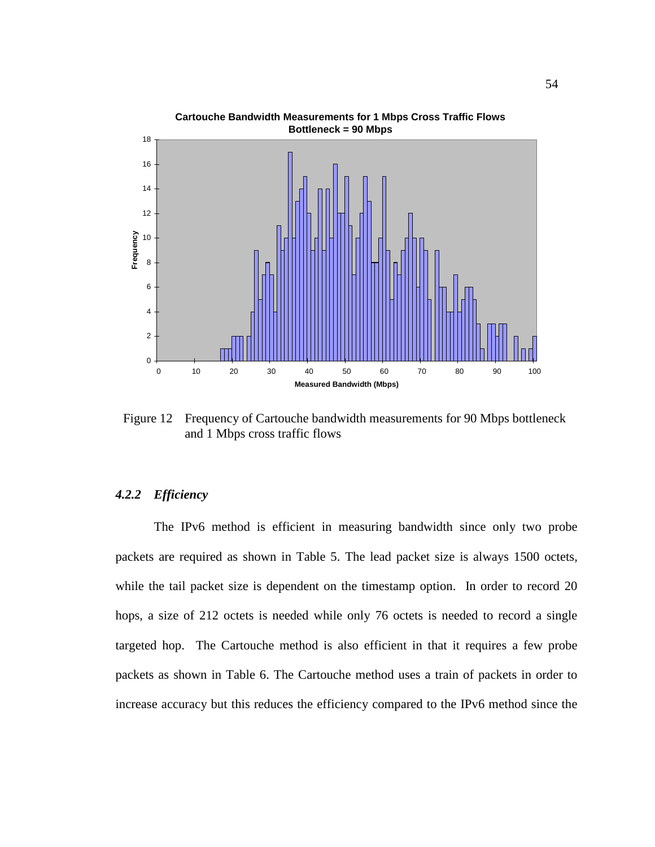

Figure 12 Frequency of Cartouche bandwidth measurements for 90 Mbps bottleneck and 1 Mbps cross traffic flows

## *4.2.2 Efficiency*

The IPv6 method is efficient in measuring bandwidth since only two probe packets are required as shown in Table 5. The lead packet size is always 1500 octets, while the tail packet size is dependent on the timestamp option. In order to record 20 hops, a size of 212 octets is needed while only 76 octets is needed to record a single targeted hop. The Cartouche method is also efficient in that it requires a few probe packets as shown in Table 6. The Cartouche method uses a train of packets in order to increase accuracy but this reduces the efficiency compared to the IPv6 method since the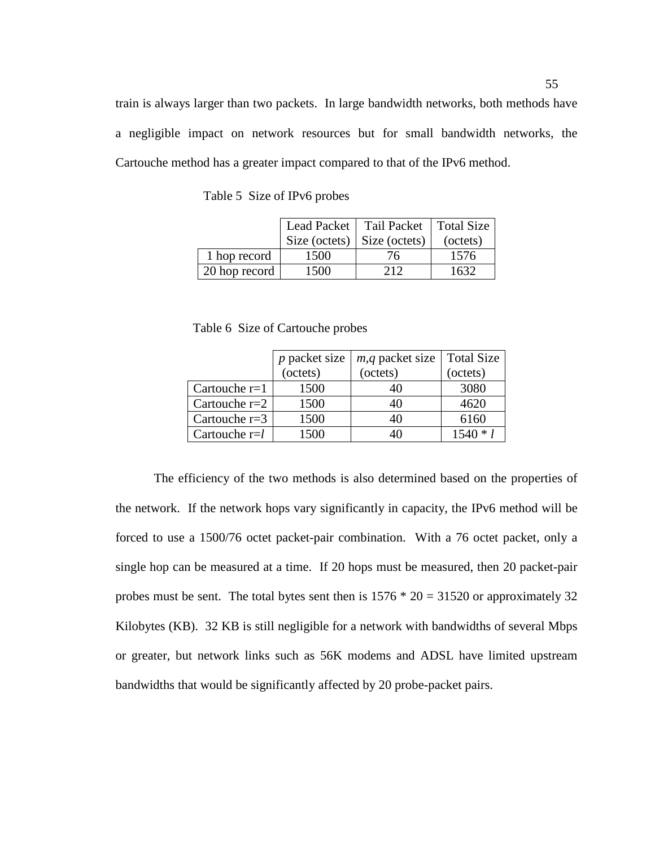train is always larger than two packets. In large bandwidth networks, both methods have a negligible impact on network resources but for small bandwidth networks, the Cartouche method has a greater impact compared to that of the IPv6 method.

|               |                                     | Lead Packet   Tail Packet   Total Size |          |
|---------------|-------------------------------------|----------------------------------------|----------|
|               | Size (octets) $\vert$ Size (octets) |                                        | (octets) |
| 1 hop record  | 1500                                | 76                                     | 1576     |
| 20 hop record | 1500                                | 212                                    | 1632     |

Table 5 Size of IPv6 probes

Table 6 Size of Cartouche probes

|                 | $p$ packet size | <i>m</i> , <i>q</i> packet size | <b>Total Size</b> |
|-----------------|-----------------|---------------------------------|-------------------|
|                 | (cctets)        | $-octets)$                      | (octets)          |
| Cartouche $r=1$ | 1500            |                                 | 3080              |
| Cartouche $r=2$ | 1500            | 40                              | 4620              |
| Cartouche $r=3$ | 1500            | 40                              | 6160              |
| Cartouche $r=l$ | 1500            |                                 | $1540 * 1$        |

The efficiency of the two methods is also determined based on the properties of the network. If the network hops vary significantly in capacity, the IPv6 method will be forced to use a 1500/76 octet packet-pair combination. With a 76 octet packet, only a single hop can be measured at a time. If 20 hops must be measured, then 20 packet-pair probes must be sent. The total bytes sent then is  $1576 * 20 = 31520$  or approximately 32 Kilobytes (KB). 32 KB is still negligible for a network with bandwidths of several Mbps or greater, but network links such as 56K modems and ADSL have limited upstream bandwidths that would be significantly affected by 20 probe-packet pairs.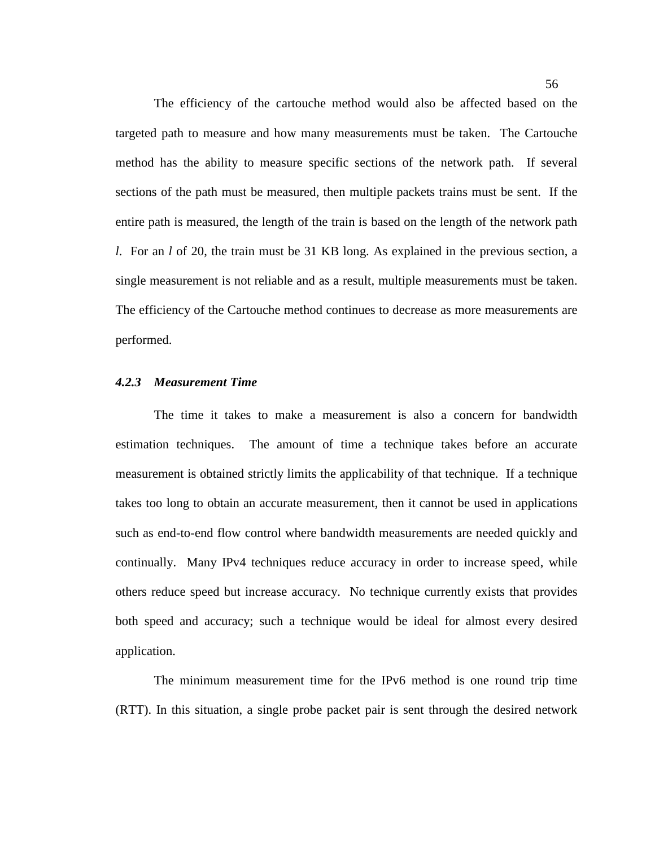The efficiency of the cartouche method would also be affected based on the targeted path to measure and how many measurements must be taken. The Cartouche method has the ability to measure specific sections of the network path. If several sections of the path must be measured, then multiple packets trains must be sent. If the entire path is measured, the length of the train is based on the length of the network path *l*. For an *l* of 20, the train must be 31 KB long. As explained in the previous section, a single measurement is not reliable and as a result, multiple measurements must be taken. The efficiency of the Cartouche method continues to decrease as more measurements are performed.

# *4.2.3 Measurement Time*

The time it takes to make a measurement is also a concern for bandwidth estimation techniques. The amount of time a technique takes before an accurate measurement is obtained strictly limits the applicability of that technique. If a technique takes too long to obtain an accurate measurement, then it cannot be used in applications such as end-to-end flow control where bandwidth measurements are needed quickly and continually. Many IPv4 techniques reduce accuracy in order to increase speed, while others reduce speed but increase accuracy. No technique currently exists that provides both speed and accuracy; such a technique would be ideal for almost every desired application.

The minimum measurement time for the IPv6 method is one round trip time (RTT). In this situation, a single probe packet pair is sent through the desired network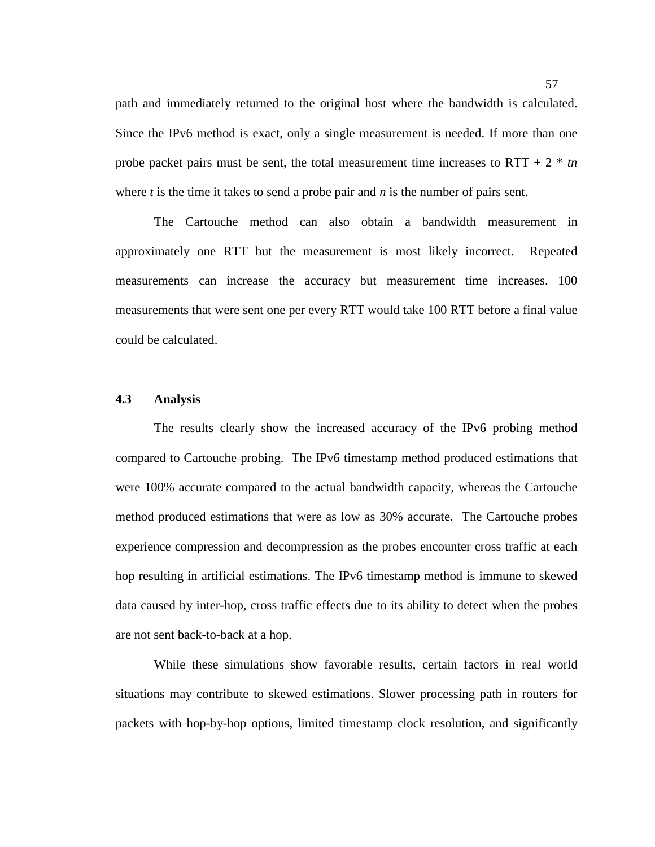path and immediately returned to the original host where the bandwidth is calculated. Since the IPv6 method is exact, only a single measurement is needed. If more than one probe packet pairs must be sent, the total measurement time increases to  $RTT + 2 * tn$ where *t* is the time it takes to send a probe pair and *n* is the number of pairs sent.

The Cartouche method can also obtain a bandwidth measurement in approximately one RTT but the measurement is most likely incorrect. Repeated measurements can increase the accuracy but measurement time increases. 100 measurements that were sent one per every RTT would take 100 RTT before a final value could be calculated.

### **4.3 Analysis**

The results clearly show the increased accuracy of the IPv6 probing method compared to Cartouche probing. The IPv6 timestamp method produced estimations that were 100% accurate compared to the actual bandwidth capacity, whereas the Cartouche method produced estimations that were as low as 30% accurate. The Cartouche probes experience compression and decompression as the probes encounter cross traffic at each hop resulting in artificial estimations. The IPv6 timestamp method is immune to skewed data caused by inter-hop, cross traffic effects due to its ability to detect when the probes are not sent back-to-back at a hop.

While these simulations show favorable results, certain factors in real world situations may contribute to skewed estimations. Slower processing path in routers for packets with hop-by-hop options, limited timestamp clock resolution, and significantly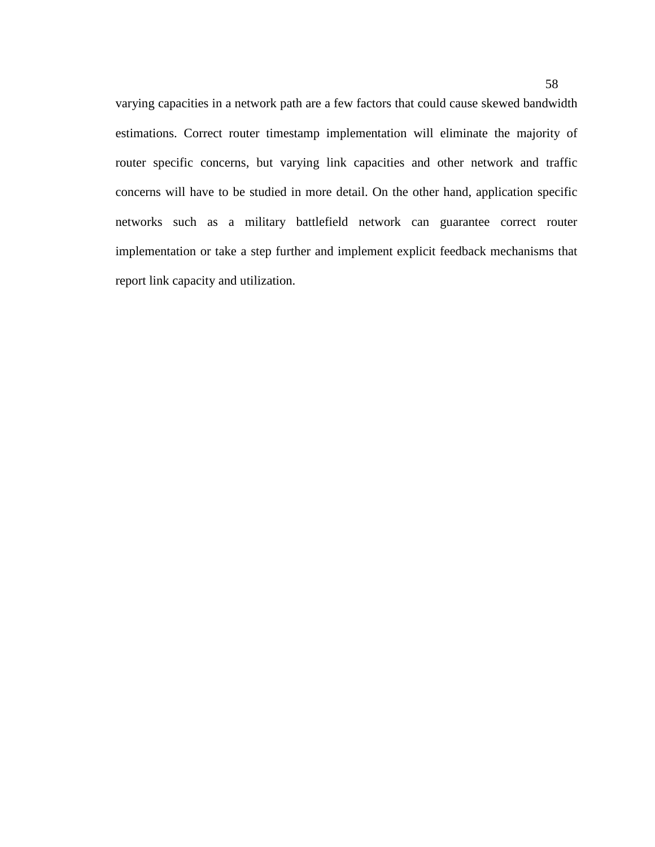varying capacities in a network path are a few factors that could cause skewed bandwidth estimations. Correct router timestamp implementation will eliminate the majority of router specific concerns, but varying link capacities and other network and traffic concerns will have to be studied in more detail. On the other hand, application specific networks such as a military battlefield network can guarantee correct router implementation or take a step further and implement explicit feedback mechanisms that report link capacity and utilization.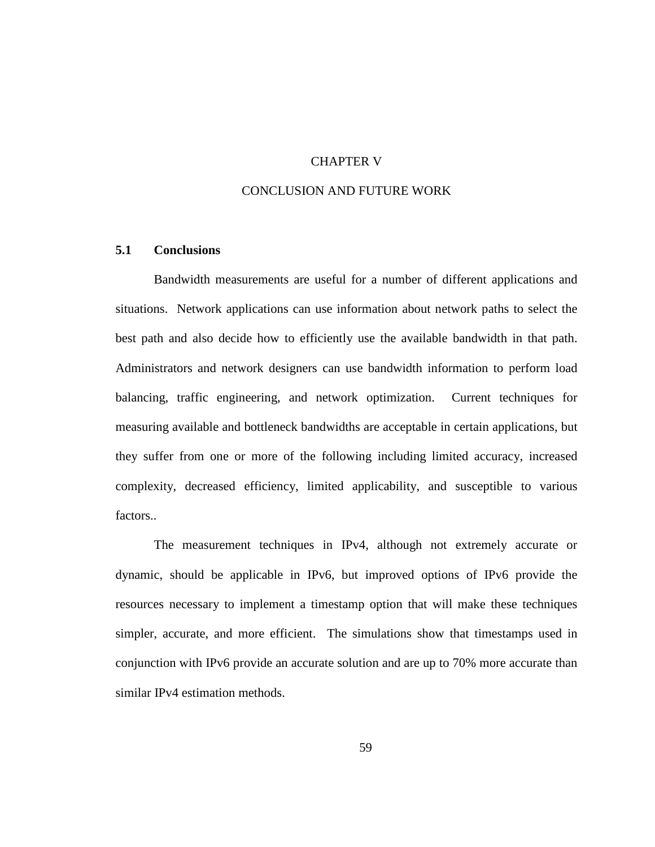# CHAPTER V

# CONCLUSION AND FUTURE WORK

# **5.1 Conclusions**

Bandwidth measurements are useful for a number of different applications and situations. Network applications can use information about network paths to select the best path and also decide how to efficiently use the available bandwidth in that path. Administrators and network designers can use bandwidth information to perform load balancing, traffic engineering, and network optimization. Current techniques for measuring available and bottleneck bandwidths are acceptable in certain applications, but they suffer from one or more of the following including limited accuracy, increased complexity, decreased efficiency, limited applicability, and susceptible to various factors..

The measurement techniques in IPv4, although not extremely accurate or dynamic, should be applicable in IPv6, but improved options of IPv6 provide the resources necessary to implement a timestamp option that will make these techniques simpler, accurate, and more efficient. The simulations show that timestamps used in conjunction with IPv6 provide an accurate solution and are up to 70% more accurate than similar IPv4 estimation methods.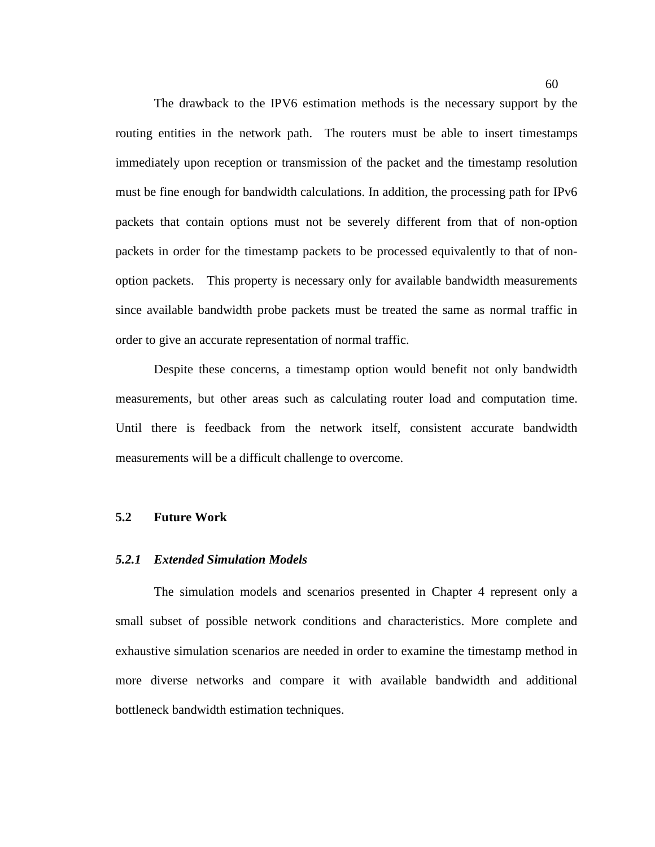The drawback to the IPV6 estimation methods is the necessary support by the routing entities in the network path. The routers must be able to insert timestamps immediately upon reception or transmission of the packet and the timestamp resolution must be fine enough for bandwidth calculations. In addition, the processing path for IPv6 packets that contain options must not be severely different from that of non-option packets in order for the timestamp packets to be processed equivalently to that of nonoption packets. This property is necessary only for available bandwidth measurements since available bandwidth probe packets must be treated the same as normal traffic in order to give an accurate representation of normal traffic.

Despite these concerns, a timestamp option would benefit not only bandwidth measurements, but other areas such as calculating router load and computation time. Until there is feedback from the network itself, consistent accurate bandwidth measurements will be a difficult challenge to overcome.

#### **5.2 Future Work**

#### *5.2.1 Extended Simulation Models*

The simulation models and scenarios presented in Chapter 4 represent only a small subset of possible network conditions and characteristics. More complete and exhaustive simulation scenarios are needed in order to examine the timestamp method in more diverse networks and compare it with available bandwidth and additional bottleneck bandwidth estimation techniques.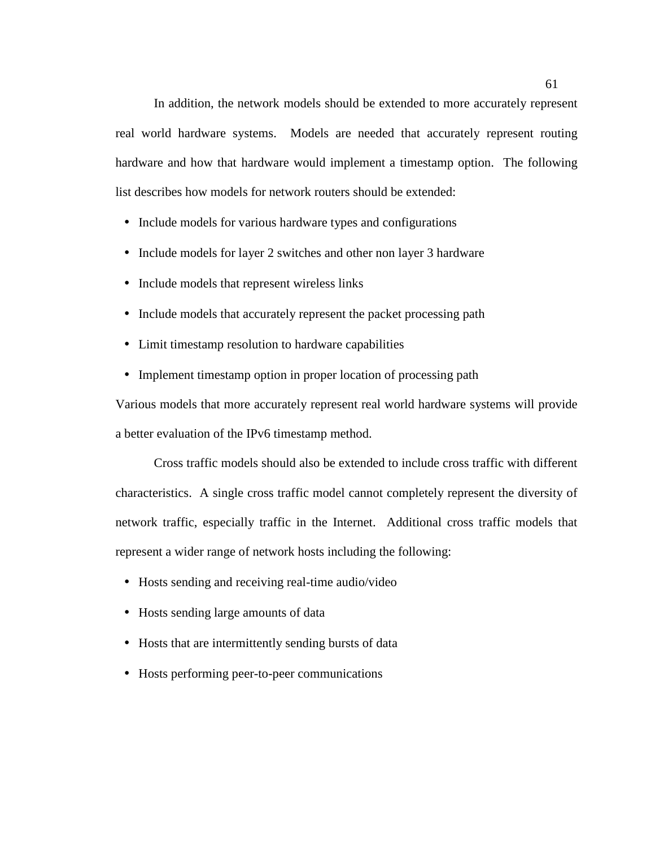In addition, the network models should be extended to more accurately represent real world hardware systems. Models are needed that accurately represent routing hardware and how that hardware would implement a timestamp option. The following list describes how models for network routers should be extended:

- Include models for various hardware types and configurations
- Include models for layer 2 switches and other non layer 3 hardware
- Include models that represent wireless links
- Include models that accurately represent the packet processing path
- Limit timestamp resolution to hardware capabilities
- Implement timestamp option in proper location of processing path

Various models that more accurately represent real world hardware systems will provide a better evaluation of the IPv6 timestamp method.

Cross traffic models should also be extended to include cross traffic with different characteristics. A single cross traffic model cannot completely represent the diversity of network traffic, especially traffic in the Internet. Additional cross traffic models that represent a wider range of network hosts including the following:

- Hosts sending and receiving real-time audio/video
- Hosts sending large amounts of data
- Hosts that are intermittently sending bursts of data
- Hosts performing peer-to-peer communications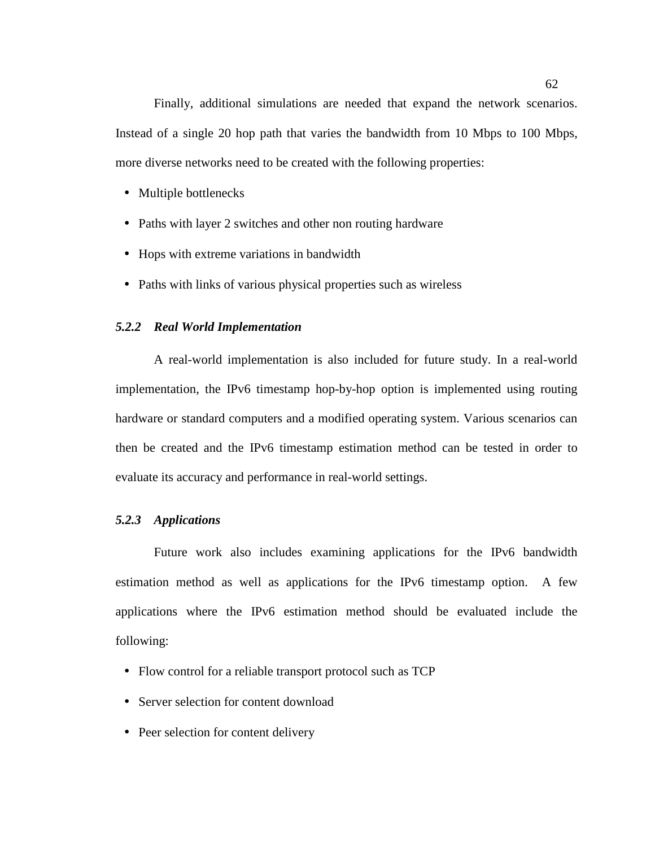Finally, additional simulations are needed that expand the network scenarios. Instead of a single 20 hop path that varies the bandwidth from 10 Mbps to 100 Mbps, more diverse networks need to be created with the following properties:

- Multiple bottlenecks
- Paths with layer 2 switches and other non routing hardware
- Hops with extreme variations in bandwidth
- Paths with links of various physical properties such as wireless

## *5.2.2 Real World Implementation*

A real-world implementation is also included for future study. In a real-world implementation, the IPv6 timestamp hop-by-hop option is implemented using routing hardware or standard computers and a modified operating system. Various scenarios can then be created and the IPv6 timestamp estimation method can be tested in order to evaluate its accuracy and performance in real-world settings.

## *5.2.3 Applications*

Future work also includes examining applications for the IPv6 bandwidth estimation method as well as applications for the IPv6 timestamp option. A few applications where the IPv6 estimation method should be evaluated include the following:

- Flow control for a reliable transport protocol such as TCP
- Server selection for content download
- Peer selection for content delivery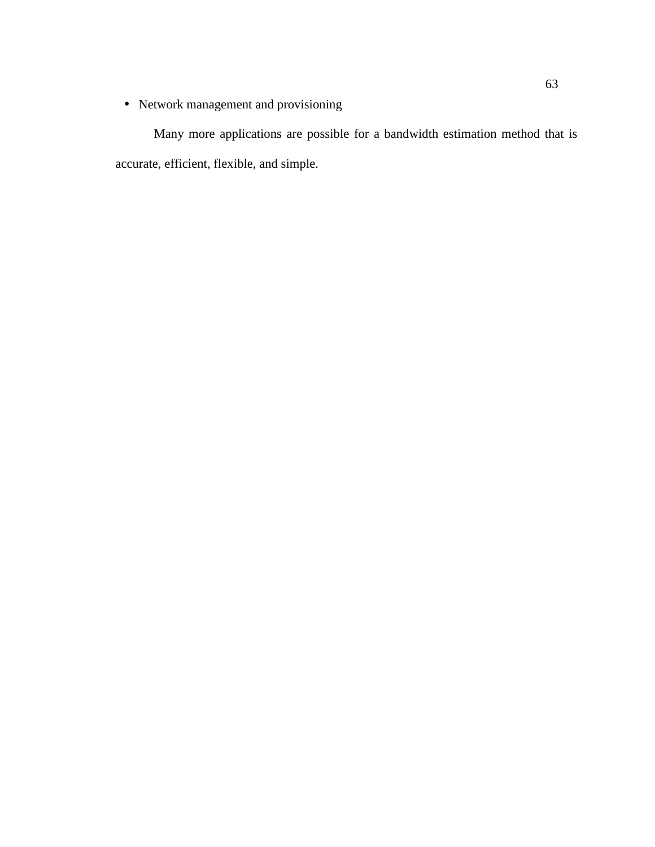• Network management and provisioning

Many more applications are possible for a bandwidth estimation method that is accurate, efficient, flexible, and simple.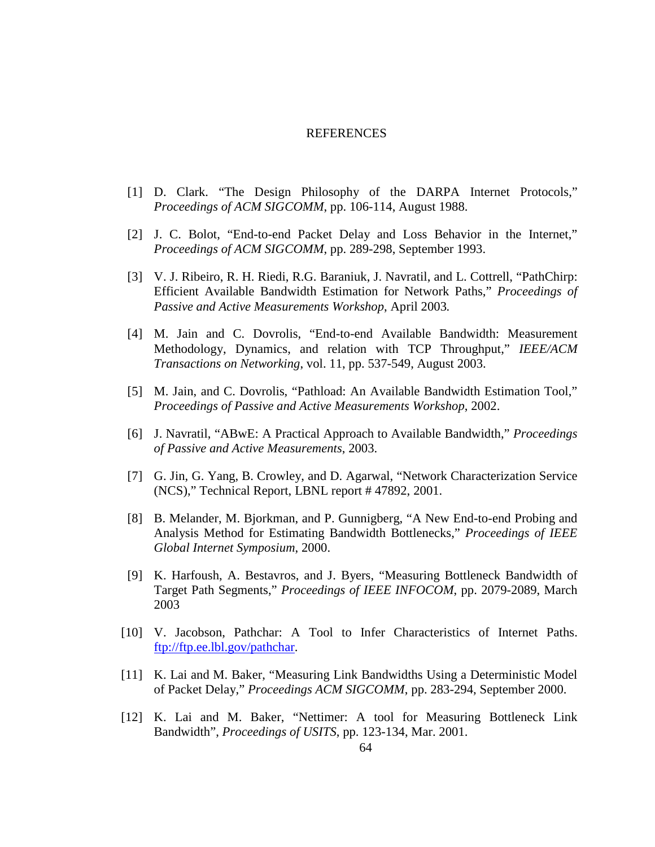## REFERENCES

- [1] D. Clark. "The Design Philosophy of the DARPA Internet Protocols," *Proceedings of ACM SIGCOMM*, pp. 106-114, August 1988.
- [2] J. C. Bolot, "End-to-end Packet Delay and Loss Behavior in the Internet," *Proceedings of ACM SIGCOMM*, pp. 289-298, September 1993.
- [3] V. J. Ribeiro, R. H. Riedi, R.G. Baraniuk, J. Navratil, and L. Cottrell, "PathChirp: Efficient Available Bandwidth Estimation for Network Paths," *Proceedings of Passive and Active Measurements Workshop*, April 2003*.*
- [4] M. Jain and C. Dovrolis, "End-to-end Available Bandwidth: Measurement Methodology, Dynamics, and relation with TCP Throughput," *IEEE/ACM Transactions on Networking*, vol. 11, pp. 537-549, August 2003.
- [5] M. Jain, and C. Dovrolis, "Pathload: An Available Bandwidth Estimation Tool," *Proceedings of Passive and Active Measurements Workshop*, 2002.
- [6] J. Navratil, "ABwE: A Practical Approach to Available Bandwidth," *Proceedings of Passive and Active Measurements*, 2003.
- [7] G. Jin, G. Yang, B. Crowley, and D. Agarwal, "Network Characterization Service (NCS)," Technical Report, LBNL report # 47892, 2001.
- [8] B. Melander, M. Bjorkman, and P. Gunnigberg, "A New End-to-end Probing and Analysis Method for Estimating Bandwidth Bottlenecks," *Proceedings of IEEE Global Internet Symposium*, 2000.
- [9] K. Harfoush, A. Bestavros, and J. Byers, "Measuring Bottleneck Bandwidth of Target Path Segments," *Proceedings of IEEE INFOCOM*, pp. 2079-2089, March 2003
- [10] V. Jacobson, Pathchar: A Tool to Infer Characteristics of Internet Paths. ftp://ftp.ee.lbl.gov/pathchar.
- [11] K. Lai and M. Baker, "Measuring Link Bandwidths Using a Deterministic Model of Packet Delay," *Proceedings ACM SIGCOMM*, pp. 283-294, September 2000.
- [12] K. Lai and M. Baker, "Nettimer: A tool for Measuring Bottleneck Link Bandwidth", *Proceedings of USITS*, pp. 123-134, Mar. 2001.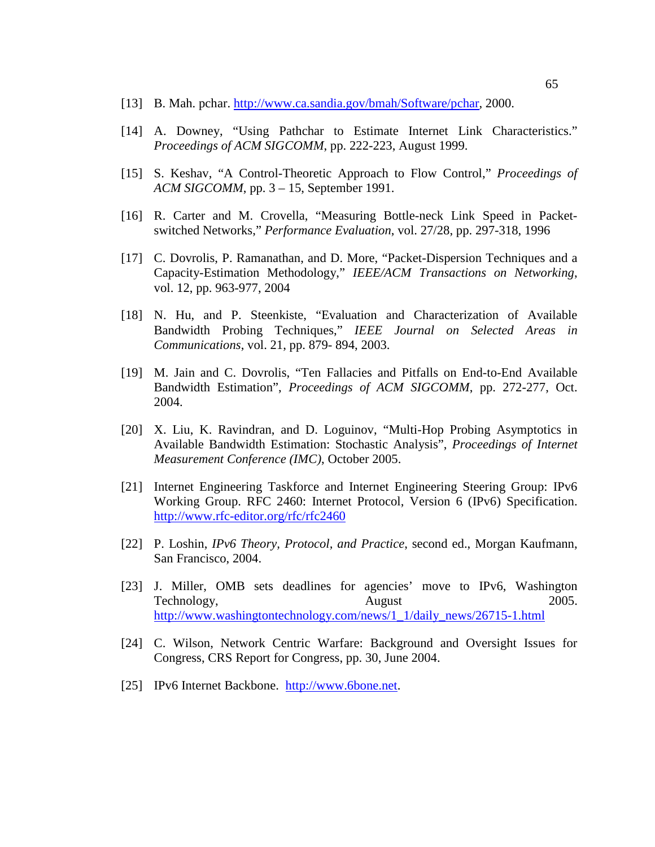- [13] B. Mah. pchar. http://www.ca.sandia.gov/bmah/Software/pchar, 2000.
- [14] A. Downey, "Using Pathchar to Estimate Internet Link Characteristics." *Proceedings of ACM SIGCOMM*, pp. 222-223, August 1999.
- [15] S. Keshav, "A Control-Theoretic Approach to Flow Control," *Proceedings of ACM SIGCOMM*, pp. 3 – 15, September 1991.
- [16] R. Carter and M. Crovella, "Measuring Bottle-neck Link Speed in Packetswitched Networks," *Performance Evaluation*, vol. 27/28, pp. 297-318, 1996
- [17] C. Dovrolis, P. Ramanathan, and D. More, "Packet-Dispersion Techniques and a Capacity-Estimation Methodology," *IEEE/ACM Transactions on Networking*, vol. 12, pp. 963-977, 2004
- [18] N. Hu, and P. Steenkiste, "Evaluation and Characterization of Available Bandwidth Probing Techniques," *IEEE Journal on Selected Areas in Communications*, vol. 21, pp. 879- 894, 2003.
- [19] M. Jain and C. Dovrolis, "Ten Fallacies and Pitfalls on End-to-End Available Bandwidth Estimation", *Proceedings of ACM SIGCOMM*, pp. 272-277, Oct. 2004.
- [20] X. Liu, K. Ravindran, and D. Loguinov, "Multi-Hop Probing Asymptotics in Available Bandwidth Estimation: Stochastic Analysis", *Proceedings of Internet Measurement Conference (IMC)*, October 2005.
- [21] Internet Engineering Taskforce and Internet Engineering Steering Group: IPv6 Working Group. RFC 2460: Internet Protocol, Version 6 (IPv6) Specification. http://www.rfc-editor.org/rfc/rfc2460
- [22] P. Loshin, *IPv6 Theory, Protocol, and Practice*, second ed., Morgan Kaufmann, San Francisco, 2004.
- [23] J. Miller, OMB sets deadlines for agencies' move to IPv6, Washington Technology, August 2005. http://www.washingtontechnology.com/news/1\_1/daily\_news/26715-1.html
- [24] C. Wilson, Network Centric Warfare: Background and Oversight Issues for Congress, CRS Report for Congress, pp. 30, June 2004.
- [25] IPv6 Internet Backbone. http://www.6bone.net.